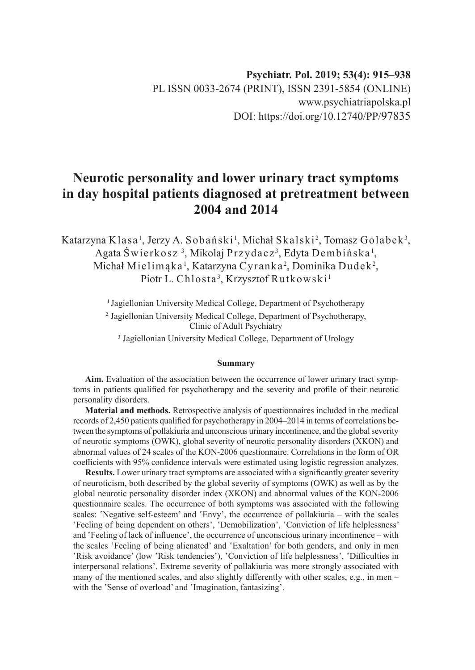### **Psychiatr. Pol. 2019; 53(4): 915–938** PL ISSN 0033-2674 (PRINT), ISSN 2391-5854 (ONLINE) www.psychiatriapolska.pl DOI: https://doi.org/10.12740/PP/97835

# **Neurotic personality and lower urinary tract symptoms in day hospital patients diagnosed at pretreatment between 2004 and 2014**

Katarzyna Klasa<sup>1</sup>, Jerzy A. Sobański<sup>1</sup>, Michał Skalski<sup>2</sup>, Tomasz Golabek<sup>3</sup>, Agata Świerkosz <sup>3</sup>, Mikolaj Przydacz<sup>3</sup>, Edyta Dembińska <sup>1</sup>, Michał Mielimąka <sup>1</sup>, Katarzyna Cyranka <sup>2</sup>, Dominika Dudek <sup>2</sup>, Piotr L. Chlosta<sup>3</sup>, Krzysztof Rutkowski <sup>1</sup>

> <sup>1</sup> Jagiellonian University Medical College, Department of Psychotherapy 2 Jagiellonian University Medical College, Department of Psychotherapy, Clinic of Adult Psychiatry

3 Jagiellonian University Medical College, Department of Urology

#### **Summary**

**Aim.** Evaluation of the association between the occurrence of lower urinary tract symptoms in patients qualified for psychotherapy and the severity and profile of their neurotic personality disorders.

**Material and methods.** Retrospective analysis of questionnaires included in the medical records of 2,450 patients qualified for psychotherapy in 2004–2014 in terms of correlations between the symptoms of pollakiuria and unconscious urinary incontinence, and the global severity of neurotic symptoms (OWK), global severity of neurotic personality disorders (XKON) and abnormal values of 24 scales of the KON-2006 questionnaire. Correlations in the form of OR coefficients with 95% confidence intervals were estimated using logistic regression analyzes.

**Results.** Lower urinary tract symptoms are associated with a significantly greater severity of neuroticism, both described by the global severity of symptoms (OWK) as well as by the global neurotic personality disorder index (XKON) and abnormal values of the KON-2006 questionnaire scales. The occurrence of both symptoms was associated with the following scales: 'Negative self-esteem' and 'Envy', the occurrence of pollakiuria – with the scales 'Feeling of being dependent on others', 'Demobilization', 'Conviction of life helplessness' and 'Feeling of lack of influence', the occurrence of unconscious urinary incontinence – with the scales 'Feeling of being alienated' and 'Exaltation' for both genders, and only in men 'Risk avoidance' (low 'Risk tendencies'), 'Conviction of life helplessness', 'Difficulties in interpersonal relations'. Extreme severity of pollakiuria was more strongly associated with many of the mentioned scales, and also slightly differently with other scales, e.g., in men – with the 'Sense of overload' and 'Imagination, fantasizing'.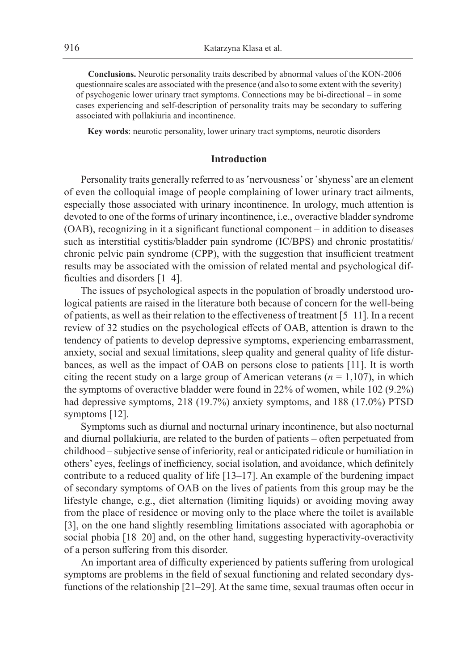**Conclusions.** Neurotic personality traits described by abnormal values of the KON-2006 questionnaire scales are associated with the presence (and also to some extent with the severity) of psychogenic lower urinary tract symptoms. Connections may be bi-directional – in some cases experiencing and self-description of personality traits may be secondary to suffering associated with pollakiuria and incontinence.

**Key words**: neurotic personality, lower urinary tract symptoms, neurotic disorders

### **Introduction**

Personality traits generally referred to as 'nervousness' or 'shyness' are an element of even the colloquial image of people complaining of lower urinary tract ailments, especially those associated with urinary incontinence. In urology, much attention is devoted to one of the forms of urinary incontinence, i.e., overactive bladder syndrome (OAB), recognizing in it a significant functional component – in addition to diseases such as interstitial cystitis/bladder pain syndrome (IC/BPS) and chronic prostatitis/ chronic pelvic pain syndrome (CPP), with the suggestion that insufficient treatment results may be associated with the omission of related mental and psychological difficulties and disorders [1–4].

The issues of psychological aspects in the population of broadly understood urological patients are raised in the literature both because of concern for the well-being of patients, as well as their relation to the effectiveness of treatment [5–11]. In a recent review of 32 studies on the psychological effects of OAB, attention is drawn to the tendency of patients to develop depressive symptoms, experiencing embarrassment, anxiety, social and sexual limitations, sleep quality and general quality of life disturbances, as well as the impact of OAB on persons close to patients [11]. It is worth citing the recent study on a large group of American veterans ( $n = 1,107$ ), in which the symptoms of overactive bladder were found in 22% of women, while 102 (9.2%) had depressive symptoms, 218 (19.7%) anxiety symptoms, and 188 (17.0%) PTSD symptoms [12].

Symptoms such as diurnal and nocturnal urinary incontinence, but also nocturnal and diurnal pollakiuria, are related to the burden of patients – often perpetuated from childhood – subjective sense of inferiority, real or anticipated ridicule or humiliation in others' eyes, feelings of inefficiency, social isolation, and avoidance, which definitely contribute to a reduced quality of life [13–17]. An example of the burdening impact of secondary symptoms of OAB on the lives of patients from this group may be the lifestyle change, e.g., diet alternation (limiting liquids) or avoiding moving away from the place of residence or moving only to the place where the toilet is available [3], on the one hand slightly resembling limitations associated with agoraphobia or social phobia [18–20] and, on the other hand, suggesting hyperactivity-overactivity of a person suffering from this disorder.

An important area of difficulty experienced by patients suffering from urological symptoms are problems in the field of sexual functioning and related secondary dysfunctions of the relationship [21–29]. At the same time, sexual traumas often occur in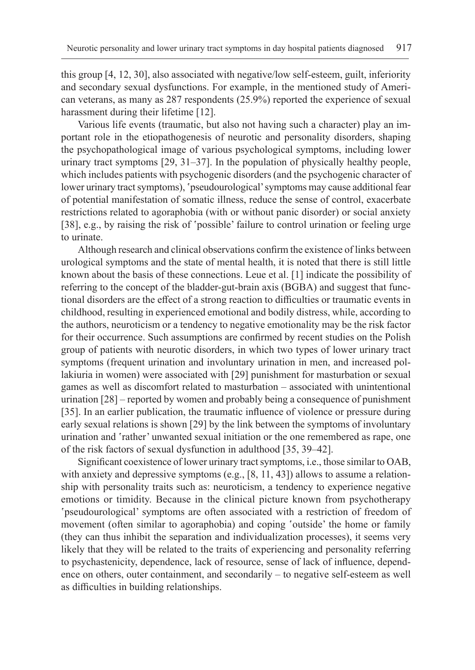this group [4, 12, 30], also associated with negative/low self-esteem, guilt, inferiority and secondary sexual dysfunctions. For example, in the mentioned study of American veterans, as many as 287 respondents (25.9%) reported the experience of sexual harassment during their lifetime [12].

Various life events (traumatic, but also not having such a character) play an important role in the etiopathogenesis of neurotic and personality disorders, shaping the psychopathological image of various psychological symptoms, including lower urinary tract symptoms [29, 31–37]. In the population of physically healthy people, which includes patients with psychogenic disorders (and the psychogenic character of lower urinary tract symptoms), 'pseudourological' symptoms may cause additional fear of potential manifestation of somatic illness, reduce the sense of control, exacerbate restrictions related to agoraphobia (with or without panic disorder) or social anxiety [38], e.g., by raising the risk of 'possible' failure to control urination or feeling urge to urinate.

Although research and clinical observations confirm the existence of links between urological symptoms and the state of mental health, it is noted that there is still little known about the basis of these connections. Leue et al. [1] indicate the possibility of referring to the concept of the bladder-gut-brain axis (BGBA) and suggest that functional disorders are the effect of a strong reaction to difficulties or traumatic events in childhood, resulting in experienced emotional and bodily distress, while, according to the authors, neuroticism or a tendency to negative emotionality may be the risk factor for their occurrence. Such assumptions are confirmed by recent studies on the Polish group of patients with neurotic disorders, in which two types of lower urinary tract symptoms (frequent urination and involuntary urination in men, and increased pollakiuria in women) were associated with [29] punishment for masturbation or sexual games as well as discomfort related to masturbation – associated with unintentional urination [28] – reported by women and probably being a consequence of punishment [35]. In an earlier publication, the traumatic influence of violence or pressure during early sexual relations is shown [29] by the link between the symptoms of involuntary urination and 'rather' unwanted sexual initiation or the one remembered as rape, one of the risk factors of sexual dysfunction in adulthood [35, 39–42].

Significant coexistence of lower urinary tract symptoms, i.e., those similar to OAB, with anxiety and depressive symptoms (e.g., [8, 11, 43]) allows to assume a relationship with personality traits such as: neuroticism, a tendency to experience negative emotions or timidity. Because in the clinical picture known from psychotherapy 'pseudourological' symptoms are often associated with a restriction of freedom of movement (often similar to agoraphobia) and coping 'outside' the home or family (they can thus inhibit the separation and individualization processes), it seems very likely that they will be related to the traits of experiencing and personality referring to psychastenicity, dependence, lack of resource, sense of lack of influence, dependence on others, outer containment, and secondarily – to negative self-esteem as well as difficulties in building relationships.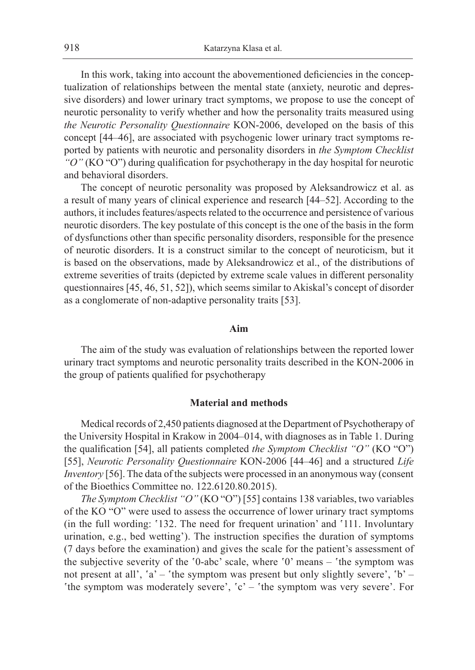In this work, taking into account the abovementioned deficiencies in the conceptualization of relationships between the mental state (anxiety, neurotic and depressive disorders) and lower urinary tract symptoms, we propose to use the concept of neurotic personality to verify whether and how the personality traits measured using *the Neurotic Personality Questionnaire* KON-2006, developed on the basis of this concept [44–46], are associated with psychogenic lower urinary tract symptoms reported by patients with neurotic and personality disorders in *the Symptom Checklist "O"* (KO "O") during qualification for psychotherapy in the day hospital for neurotic and behavioral disorders.

The concept of neurotic personality was proposed by Aleksandrowicz et al. as a result of many years of clinical experience and research [44–52]. According to the authors, it includes features/aspects related to the occurrence and persistence of various neurotic disorders. The key postulate of this concept is the one of the basis in the form of dysfunctions other than specific personality disorders, responsible for the presence of neurotic disorders. It is a construct similar to the concept of neuroticism, but it is based on the observations, made by Aleksandrowicz et al., of the distributions of extreme severities of traits (depicted by extreme scale values in different personality questionnaires [45, 46, 51, 52]), which seems similar to Akiskal's concept of disorder as a conglomerate of non-adaptive personality traits [53].

### **Aim**

The aim of the study was evaluation of relationships between the reported lower urinary tract symptoms and neurotic personality traits described in the KON-2006 in the group of patients qualified for psychotherapy

#### **Material and methods**

Medical records of 2,450 patients diagnosed at the Department of Psychotherapy of the University Hospital in Krakow in 2004–014, with diagnoses as in Table 1. During the qualification [54], all patients completed *the Symptom Checklist "O"* (KO "O") [55], *Neurotic Personality Questionnaire* KON-2006 [44–46] and a structured *Life Inventory* [56]. The data of the subjects were processed in an anonymous way (consent of the Bioethics Committee no. 122.6120.80.2015).

*The Symptom Checklist "O"* (KO "O") [55] contains 138 variables, two variables of the KO "O" were used to assess the occurrence of lower urinary tract symptoms (in the full wording: '132. The need for frequent urination' and '111. Involuntary urination, e.g., bed wetting'). The instruction specifies the duration of symptoms (7 days before the examination) and gives the scale for the patient's assessment of the subjective severity of the '0-abc' scale, where '0' means – 'the symptom was not present at all', 'a' – 'the symptom was present but only slightly severe', 'b' – 'the symptom was moderately severe', 'c' – 'the symptom was very severe'. For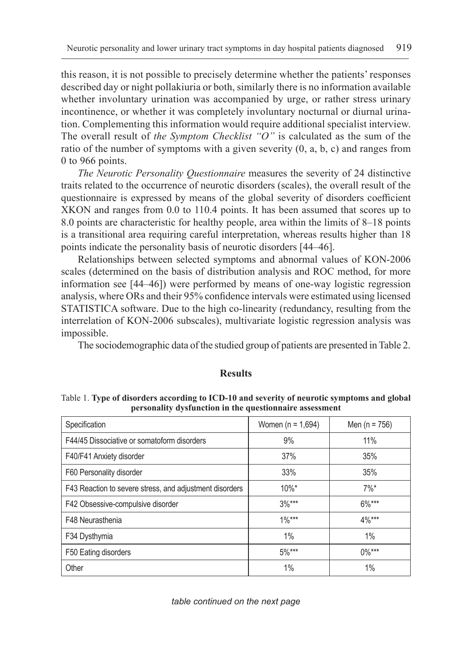this reason, it is not possible to precisely determine whether the patients' responses described day or night pollakiuria or both, similarly there is no information available whether involuntary urination was accompanied by urge, or rather stress urinary incontinence, or whether it was completely involuntary nocturnal or diurnal urination. Complementing this information would require additional specialist interview. The overall result of *the Symptom Checklist "O"* is calculated as the sum of the ratio of the number of symptoms with a given severity (0, a, b, c) and ranges from 0 to 966 points.

*The Neurotic Personality Questionnaire* measures the severity of 24 distinctive traits related to the occurrence of neurotic disorders (scales), the overall result of the questionnaire is expressed by means of the global severity of disorders coefficient XKON and ranges from 0.0 to 110.4 points. It has been assumed that scores up to 8.0 points are characteristic for healthy people, area within the limits of 8–18 points is a transitional area requiring careful interpretation, whereas results higher than 18 points indicate the personality basis of neurotic disorders [44–46].

Relationships between selected symptoms and abnormal values of KON-2006 scales (determined on the basis of distribution analysis and ROC method, for more information see [44–46]) were performed by means of one-way logistic regression analysis, where ORs and their 95% confidence intervals were estimated using licensed STATISTICA software. Due to the high co-linearity (redundancy, resulting from the interrelation of KON-2006 subscales), multivariate logistic regression analysis was impossible.

The sociodemographic data of the studied group of patients are presented in Table 2.

| рствонанту и уминствон не сис дисмоннан с авмомнене     |                     |                    |
|---------------------------------------------------------|---------------------|--------------------|
| Specification                                           | Women $(n = 1,694)$ | Men (n = $756$ )   |
| F44/45 Dissociative or somatoform disorders             | 9%                  | 11%                |
| F40/F41 Anxiety disorder                                | 37%                 | 35%                |
| F60 Personality disorder                                | 33%                 | 35%                |
| F43 Reaction to severe stress, and adjustment disorders | $10\%$ *            | $7\%$ <sup>*</sup> |
| F42 Obsessive-compulsive disorder                       | $3\%***$            | $6\%***$           |
| F48 Neurasthenia                                        | $1\%***$            | $4\%***$           |
| F34 Dysthymia                                           | $1\%$               | 1%                 |
| F50 Eating disorders                                    | $5\%***$            | $0\%***$           |
| Other                                                   | 1%                  | 1%                 |

**Results**

Table 1. **Type of disorders according to ICD-10 and severity of neurotic symptoms and global personality dysfunction in the questionnaire assessment**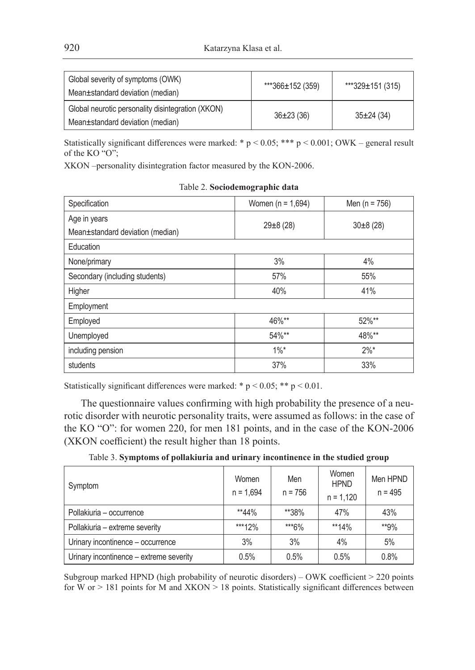| Global severity of symptoms (OWK)<br>Mean±standard deviation (median)                 | ***366±152 (359) | $***329\pm151(315)$ |
|---------------------------------------------------------------------------------------|------------------|---------------------|
| Global neurotic personality disintegration (XKON)<br>Mean±standard deviation (median) | $36\pm23(36)$    | $35\pm24(34)$       |

Statistically significant differences were marked: \*  $p < 0.05$ ; \*\*\*  $p < 0.001$ ; OWK – general result of the KO "O";

XKON –personality disintegration factor measured by the KON-2006.

| Specification                    | Women ( $n = 1,694$ ) | Men ( $n = 756$ ) |
|----------------------------------|-----------------------|-------------------|
| Age in years                     | $29 \pm 8(28)$        |                   |
| Mean±standard deviation (median) |                       | $30\pm8(28)$      |
| Education                        |                       |                   |
| None/primary                     | 3%                    | 4%                |
| Secondary (including students)   | 57%                   | 55%               |
| Higher                           | 40%                   | 41%               |
| Employment                       |                       |                   |
| Employed                         | 46%**                 | 52%**             |
| Unemployed                       | 54%**                 | 48%**             |
| including pension                | $1\%$ *               | $2\%$ *           |
| students                         | 37%                   | 33%               |

Table 2. **Sociodemographic data**

Statistically significant differences were marked: \*  $p < 0.05$ ; \*\*  $p < 0.01$ .

The questionnaire values confirming with high probability the presence of a neurotic disorder with neurotic personality traits, were assumed as follows: in the case of the KO "O": for women 220, for men 181 points, and in the case of the KON-2006 (XKON coefficient) the result higher than 18 points.

| Symptom                                 | Women<br>$n = 1.694$ | Men<br>$n = 756$ | Women<br><b>HPND</b><br>$n = 1,120$ | Men HPND<br>$n = 495$ |
|-----------------------------------------|----------------------|------------------|-------------------------------------|-----------------------|
| Pollakiuria – occurrence                | $*44\%$              | **38%            | 47%                                 | 43%                   |
| Pollakiuria - extreme severity          | ***12%               | ***6%            | $**14%$                             | **9%                  |
| Urinary incontinence - occurrence       | 3%                   | 3%               | 4%                                  | 5%                    |
| Urinary incontinence - extreme severity | 0.5%                 | 0.5%             | 0.5%                                | 0.8%                  |

Table 3. **Symptoms of pollakiuria and urinary incontinence in the studied group**

Subgroup marked HPND (high probability of neurotic disorders) – OWK coefficient > 220 points for W or  $> 181$  points for M and XKON  $> 18$  points. Statistically significant differences between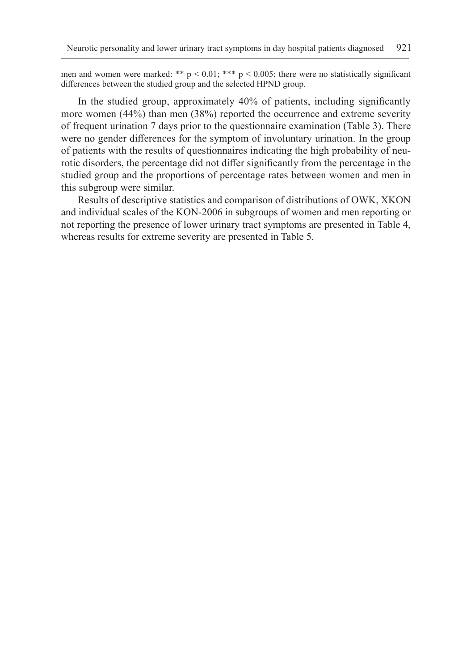men and women were marked: \*\*  $p \le 0.01$ ; \*\*\*  $p \le 0.005$ ; there were no statistically significant differences between the studied group and the selected HPND group.

In the studied group, approximately 40% of patients, including significantly more women (44%) than men (38%) reported the occurrence and extreme severity of frequent urination 7 days prior to the questionnaire examination (Table 3). There were no gender differences for the symptom of involuntary urination. In the group of patients with the results of questionnaires indicating the high probability of neurotic disorders, the percentage did not differ significantly from the percentage in the studied group and the proportions of percentage rates between women and men in this subgroup were similar.

Results of descriptive statistics and comparison of distributions of OWK, XKON and individual scales of the KON-2006 in subgroups of women and men reporting or not reporting the presence of lower urinary tract symptoms are presented in Table 4, whereas results for extreme severity are presented in Table 5.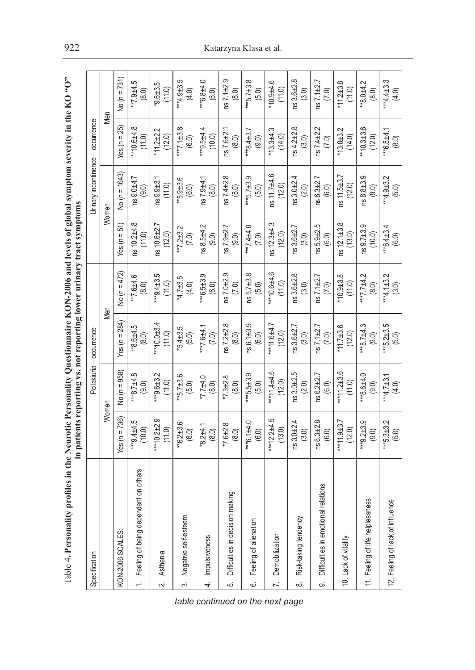| $\overline{\phantom{a}}$<br>֖֖֖֧֧֧֧֧֧֧֧֧֧֧֧֧֧֧֧֧֧֧֧֧֚֚֚֚֚֚֚֚֚֚֚֚֚֚֚֚֚֚֡֝֓֕֓֝֓֝֓֝֬֝֓֝֓֝֬֓֝֬֝֓֝֬֝֬֝֬֝֬֝֬֝֬֝֬֝֬֝֬֝<br>֧֪֧֧֧֪֪֪֪֪֪֪֪֪֧֧֧֪֛֧֧֧֧֚֚֚֝֝֝֝֩<br>֧֪֝<br>j |                                     |
|----------------------------------------------------------------------------------------------------------------------------------------------------------------|-------------------------------------|
| ļ<br>l                                                                                                                                                         | もくら<br>į<br>-<br>-<br>-<br>こくら<br>į |

|                      |                                         |                           |                          | stim bancare rebording vs. mortel and an internative market with the |                             |                          |                                  |                             |                             |
|----------------------|-----------------------------------------|---------------------------|--------------------------|----------------------------------------------------------------------|-----------------------------|--------------------------|----------------------------------|-----------------------------|-----------------------------|
| Specification        |                                         |                           |                          | Pollakiuria - occurrence                                             |                             |                          | Unnary incontinence - occurrence |                             |                             |
|                      |                                         |                           | Women                    |                                                                      | Men                         |                          | Women                            | Men                         |                             |
| KON-2006 SCALES:     |                                         | $f$ es (n = 736)          | $No (n = 958)$           | Yes (n = $284$ )                                                     | No (n = 472)                | 51)<br>Yes $(n =$        | No (n = 1643)                    | $f$ es (n = 25)             | No (n = 731)                |
|                      | 1. Feeling of being dependent on others | $-4.5$<br>(10.0)          | ***8.7±4.8<br>(9.0)      | $*8.6 + 4.5$<br>(8.0)                                                | $-4.6$<br>(8.0)             | ns 10.2±4.8<br>(11.0)    | ns 9.0±4.7<br>(9.0)              | $*10.6 + 4.8$<br>(11.0)     | $-5.74.5$<br>(8.0)          |
| 2. Asthenia          |                                         | ***10.2±2.9<br>(11.0)     | $***9.6 + 3.2$<br>(11.0) | ***10.0±3.4<br>(11.0)                                                | $-5.54 + 3.5$<br>(11.0)     | ns 10.6±2.7<br>(12.0)    | $ns9.9 + 3.1$<br>(11.0)          | * $11.2 + 2.2$<br>(12.0)    | $-5.6 + 3.5$<br>(11.0)      |
| က်                   | Negative self-esteem                    | $*6.2 \pm 3.6$<br>(6.0)   | $-5.7 + 3.6$<br>(5.0)    | $5.4 + 3.5$<br>(5.0)                                                 | $4.7 + 3.5$<br>(4.0)        | **7.2 $\pm$ 3.2<br>(7.0) | $*5.9 + 3.6$<br>(6.0)            | $8.5 \pm 1.7$<br>(6.0)      | $4.9 + 3.5$<br>(4.0)        |
| Impulsiveness<br>4.  |                                         | $^{*8.2 \pm 4.1}_{(8.0)}$ | $(0.8)$<br>0.7+7.7*      | 1.4477.6441<br>(7.0)                                                 | ***6.5±3.9<br>(6.0)         | ns 8.5±4.2<br>(9.0)      | ns 7.9±4.1<br>(8.0)              | $(10.0)$<br>$(10.0)$        | $(6.0)$<br>(6.0)            |
| s.                   | Difficulties in decision making         | $*7.6 + 2.8$<br>(8.0)     | $87.3 + 2.8$<br>(8.0)    | $ns$ 7.2 $\pm$ 2.8<br>(8.0)                                          | $ns$ 7.0 $\pm$ 2.9<br>(7.0) | $ns 7.9 + 2.7$<br>(9.0)  | $ns7.4 + 2.8$<br>(8.0)           | $ns$ 7.6 $\pm$ 2.1<br>(8.0) | $ns7.1 + 2.9$<br>(8.0)      |
| .<br>ဖ               | Feeling of allenation                   | $4*6.1 + 4.0$<br>(6.0)    | $445.5 \pm 3.9$<br>(5.0) | $ns 6.1 + 3.9$<br>(6.0)                                              | $ns 5.7 + 3.8$<br>(5.0)     | ***7.4±4.0<br>(7.0)      | ***5.7±3.9<br>(5.0)              | 44.37<br>(9.0)              | $***5.7 \pm 3.8$<br>(5.0)   |
| 7. Demobilization    |                                         | ***12.2±4.5<br>(13.0)     | $***1.4+4.6$<br>(12.0)   | 7459.1<br>(12.0)                                                     | ***10.6±4.6<br>(11.0)       | ns 12.3±4.3<br>(12.0)    | ns 11.7±4.6<br>(12.0)            | $*13.3 + 4.3$<br>(14.0)     | $40.9 + 4.6$<br>(11.0)      |
| $\infty$             | Risk-taking tendency                    | $ns3.0 + 2.4$<br>(3.0)    | $ns3.0+2.5$<br>(2.0)     | $ns3.6 + 2.7$<br>(3.0)                                               | $ns3.6 \pm 2.8$<br>(3.0)    | $ns3.6 + 2.7$<br>(3.0)   | $ns3.0 + 2.4$<br>(2.0)           | $ns4.2 + 2.8$<br>(3.0)      | ns 3.6±2.8<br>(3.0)         |
| တ                    | Difficulties in emotional relations     | ns 6.3 ± 2.8<br>(6.0)     | $ns 6.2 + 2.7$<br>(6.0)  | $ns7.1 + 2.7$<br>(7.0)                                               | $ns7.1 + 2.7$<br>(7.0)      | ns 5.9±2.5<br>(6.0)      | $ns 6.3 + 2.7$<br>(6.0)          | ns7.4 ± 2.2<br>(7.0)        | $ns7.1 + 2.7$<br>(7.0)      |
| 10. Lack of vitality |                                         | $***11.9+3.7$<br>(12.0)   | ***11.2±3.6<br>(11.0)    | $11.7 + 3.6$<br>(12.0)                                               | 8.840001<br>(11.0)          | ns 12.1±3.8<br>(13.0)    | ns 11.5±3.7<br>(12.0)            | $*13.0 + 3.2$<br>(14.0)     | $*11.2 \pm 3.8$<br>(11.0)   |
|                      | 11. Feeling of life helplessness        | ***9.2±3.9<br>(9.0)       | $(0.6)$<br>0. $7 + 3.8$  | $48.7 \pm 4.3$<br>(9.0)                                              | ***7.7±4.2<br>(8.0)         | $\frac{1}{(10.0)}$       | $n s 8.8 + 3.9$<br>(9.0)         | ** $10.3 \pm 3.6$<br>(12.0) | $^{**}8.0 \pm 4.2$<br>(8.0) |
|                      | 12. Feeling of lack of influence        | ***5.3±3.2<br>(5.0)       | ***4.7±3.1<br>(4.0)      | $***$ 5.2 $\pm$ 3.5<br>(5.0)                                         | ***4.1±3.2<br>(3.0)         | ***6.4±3.4<br>(6.0)      | *** $4.9 \pm 3.2$<br>(5.0)       | 144.1<br>(8.0)              | $44.4 \pm 3.3$<br>(4.0)     |

*table continued on the next page*

## 922 Katarzyna Klasa et al.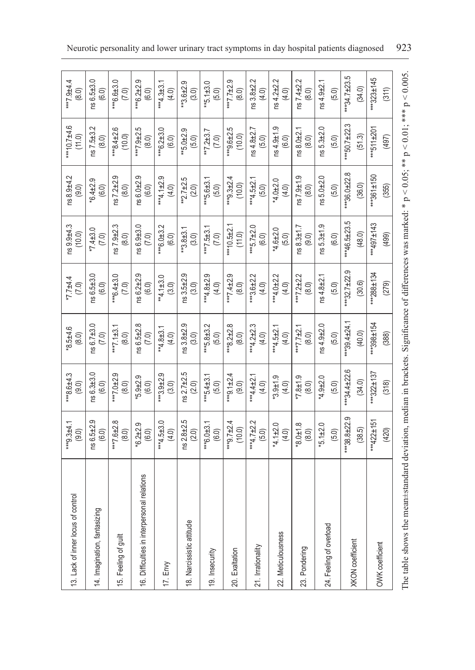| 13. Lack of inner locus of control                                                                                                                        | $*9.3 + 4.1$              | $48.6 + 4.3$                 | $-9.5 + 4.6$              | $7.7 + 4.4$               | $159.9 + 4.3$           | ns 8.9±4.2                       | $40.7 + 4.6$                   | $4.9 + 4.4$                 |
|-----------------------------------------------------------------------------------------------------------------------------------------------------------|---------------------------|------------------------------|---------------------------|---------------------------|-------------------------|----------------------------------|--------------------------------|-----------------------------|
|                                                                                                                                                           | (9.0)                     | (9.0)                        | (8.0)                     | (7.0)                     | (10.0)                  | (9.0)                            | (11.0)                         | (8.0)                       |
| 14. Imagination, fantasizing                                                                                                                              | $6.5 + 2.9$<br>(6.0)<br>S | $ns6.3 + 3.0$<br>(6.0)       | $ns 6.7 + 3.0$<br>(7.0)   | ns 6.5±3.0<br>(6.0)       | $*7.4 \pm 3.0$<br>(7.0) | တ္<br>$-24.64$<br>(6.0)          | $1.5 + 3.2$<br>(8.0)           | $156.5 + 3.0$<br>(6.0)      |
| 15. Feeling of guilt                                                                                                                                      | $87.6 + 2.8$<br>(8.0)     | $^{***}7.0 \pm 2.9$<br>(8.0) | 1.24<br>(8.0)             | $***6.4 \pm 3.0$<br>(7.0) | $ns7.9 + 2.3$<br>(8.0)  | Ō.<br>$1s$ 7.2 $\pm$ 2.<br>(8.0) | $**8.4 \pm 2.6$<br>(10.0)      | ***6.6±3.0<br>(7.0)         |
| 16. Difficulties in interpersonal relations                                                                                                               | $6.2 + 2.9$               | $5.9 + 2.9$                  | ns 6.5 ± 2.8              | ns 6.2 ± 2.9              | 1s 6.9±3.0              | $0.52 - 0.05$                    | $-27.9 + 2.5$                  | $446.2 \pm 2.9$             |
|                                                                                                                                                           | (6.0)                     | (6.0)                        | (7.0)                     | (6.0)                     | (7.0)                   | (6.0)                            | (8.0)                          | (6.0)                       |
| 17. Envy                                                                                                                                                  | *** $4.5 + 3.0$           | $443.9 \pm 2.9$              | $*4.8 + 3.1$              | $**4.1 \pm 3.0$           | $**6.0 + 3.2$           | $4.1 \pm 2.9$                    | $***6.2 \pm 3.0$               | $4.3 \pm 3.1$               |
|                                                                                                                                                           | (4.0)                     | (3.0)                        | (4.0)                     | (3.0)                     | (6.0)                   | (4.0)                            | (6.0)                          | (4.0)                       |
| 18. Narcissistic attitude                                                                                                                                 | $2.8 + 2.5$<br>(2.0)<br>8 | ns2.7 ± 2.5<br>(2.0)         | $ns3.8+2.9$<br>(3.0)      | $ns3.5 + 2.9$<br>(3.0)    | $43.8 + 3.1$<br>(3.0)   | $-2.7+2.5$<br>(2.0)              | $*5.0 + 2.9$<br>(5.0)          | $-3.6 + 2.9$<br>(3.0)       |
| 19. Insecurity                                                                                                                                            | $446.0 + 3.1$             | ***5.4 $\pm$ 3.1             | ***5.8±3.2                | *** 4.8 ± 2.9             | $47.5 + 3.1$            | $4*5.6 \pm 3.1$                  | $47.2 \pm 3.7$                 | $45.1 \pm 3.0$              |
|                                                                                                                                                           | (6.0)                     | (5.0)                        | (5.0)                     | (4.0)                     | (7.0)                   | (5.0)                            | (7.0)                          | (5.0)                       |
| 20. Exaltation                                                                                                                                            | *** $9.7 \pm 2.4$         | $44.9.1 \pm 2.4$             | ***8.2±2.8                | $-2.9$                    | $***10.5+2.1$           | $44.9.3 \pm 2.4$                 | $-2.5$                         | **7.7±2.9                   |
|                                                                                                                                                           | (10.0)                    | (9.0)                        | (8.0)                     | (8.0)                     | (11.0)                  | (10.0)                           | (10.0)                         | (8.0)                       |
| 21. Irrationality                                                                                                                                         | *** $4.7 \pm 2.2$         | ***4.4±2.1                   | *** $4.2 \pm 2.3$         | $443.6 \pm 2.2$           | ***5.7±2.0              | ***4.5±2.1                       | $154.8 + 2.7$                  | $ns3.8 + 2.2$               |
|                                                                                                                                                           | (5.0)                     | (4.0)                        | (4.0)                     | (4.0)                     | (6.0)                   | (5.0)                            | (5.0)                          | (4.0)                       |
| 22. Meticulousness                                                                                                                                        | *4.1±2.0                  | $*3.9 + 1.9$                 | $**4.5 + 2.1$             | $4.0 + 2.2$               | *4.6±2.0                | $4.0 + 2.0$                      | $ns4.9 + 1.9$                  | $ns4.2 + 2.2$               |
|                                                                                                                                                           | (4.0)                     | (4.0)                        | (4.0)                     | (4.0)                     | (5.0)                   | (4.0)                            | (6.0)                          | (4.0)                       |
| 23. Pondering                                                                                                                                             | $8.0 + 1.8$               | $6.1787*$                    | ***7.7±2.1                | ***7.2±2.2                | $158.3 \pm 1.7$         | $1s$ 7.9 $\pm$ 1.9               | $ns 8.0 + 2.$                  | $ns7.4 + 2.2$               |
|                                                                                                                                                           | (8.0)                     | (8.0)                        | (8.0)                     | (8.0)                     | (9.0)                   | (8.0)                            | (8.0)                          | (8.0)                       |
| 24. Feeling of overload                                                                                                                                   | $*5.1 + 2.0$              | $4.9 + 2.0$                  | $ns4.9 + 2.0$             | $ns4.8 + 2.1$             | ns 5.3±1.9              | $15.0 + 2.0$                     | $ns 5.3 + 2.0$                 | $ns4.9+2.1$                 |
|                                                                                                                                                           | (5.0)                     | (5.0)                        | (5.0)                     | (5.0)                     | (6.0)                   | (5.0)                            | (5.0)                          | (5.0)                       |
| <b>XKON</b> coefficient                                                                                                                                   | $*38.8 + 22.9$<br>(38.5)  | $**34.4 \pm 22.6$<br>(34.0)  | $**39.4 + 24.1$<br>(40.0) | $**32.7+22.9$<br>(30.6)   | ***46.5±23.5<br>(48.0)  | œ<br>$**36.0 + 22.$<br>(36.0)    | $**$ 50.7 $\pm$ 22.3<br>(51.3) | $**34.7 \pm 23.5$<br>(34.0) |
| OWK coefficient                                                                                                                                           | *** 422±151               | *** $322 \pm 137$            | ***398±154                | $*288 \pm 134$            | $497 \pm 143$           | $361 \pm 150$                    | $**511 \pm 201$                | $**323 \pm 145$             |
|                                                                                                                                                           | (420)                     | (318)                        | (388)                     | (279)                     | (499)                   | (355)                            | (497)                          | (311)                       |
| The table shows the mean+standard deviation, median in brackets. Significance of differences was marked: * $p < 0.05$ ; ** $p < 0.01$ ; *** $p < 0.005$ . |                           |                              |                           |                           |                         |                                  |                                |                             |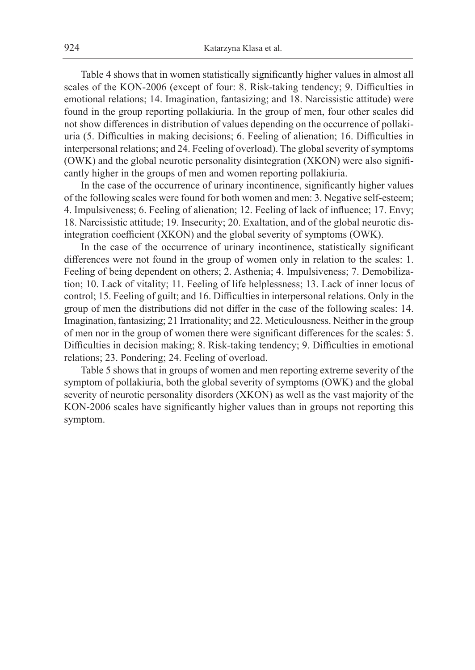Table 4 shows that in women statistically significantly higher values in almost all scales of the KON-2006 (except of four: 8. Risk-taking tendency; 9. Difficulties in emotional relations; 14. Imagination, fantasizing; and 18. Narcissistic attitude) were found in the group reporting pollakiuria. In the group of men, four other scales did not show differences in distribution of values depending on the occurrence of pollakiuria (5. Difficulties in making decisions; 6. Feeling of alienation; 16. Difficulties in interpersonal relations; and 24. Feeling of overload). The global severity of symptoms (OWK) and the global neurotic personality disintegration (XKON) were also significantly higher in the groups of men and women reporting pollakiuria.

In the case of the occurrence of urinary incontinence, significantly higher values of the following scales were found for both women and men: 3. Negative self-esteem; 4. Impulsiveness; 6. Feeling of alienation; 12. Feeling of lack of influence; 17. Envy; 18. Narcissistic attitude; 19. Insecurity; 20. Exaltation, and of the global neurotic disintegration coefficient (XKON) and the global severity of symptoms (OWK).

In the case of the occurrence of urinary incontinence, statistically significant differences were not found in the group of women only in relation to the scales: 1. Feeling of being dependent on others; 2. Asthenia; 4. Impulsiveness; 7. Demobilization; 10. Lack of vitality; 11. Feeling of life helplessness; 13. Lack of inner locus of control; 15. Feeling of guilt; and 16. Difficulties in interpersonal relations. Only in the group of men the distributions did not differ in the case of the following scales: 14. Imagination, fantasizing; 21 Irrationality; and 22. Meticulousness. Neither in the group of men nor in the group of women there were significant differences for the scales: 5. Difficulties in decision making; 8. Risk-taking tendency; 9. Difficulties in emotional relations; 23. Pondering; 24. Feeling of overload.

Table 5 shows that in groups of women and men reporting extreme severity of the symptom of pollakiuria, both the global severity of symptoms (OWK) and the global severity of neurotic personality disorders (XKON) as well as the vast majority of the KON-2006 scales have significantly higher values than in groups not reporting this symptom.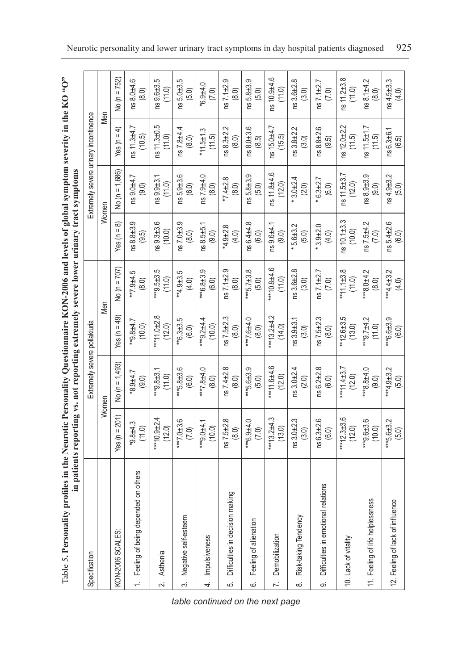Table 5. Personality profiles in the Neurotic Personality Questionnaire KON-2006 and levels of global symptom severity in the KO "O" Table 5**. Personality profiles in the Neurotic Personality Questionnaire KON-2006 and levels of global symptom severity in the KO "O"** in patients reporting vs. not reporting extremely severe lower urinary tract symptoms. **in patients reporting vs. not reporting extremely severe lower urinary tract symptoms**

|                |                                        |                           | the participation of the control of the control of the control of the control of the control of the control of the control of the control of the control of the control of the control of the control of the control of the co |                           |                            |                            |                                       |                               |                           |
|----------------|----------------------------------------|---------------------------|--------------------------------------------------------------------------------------------------------------------------------------------------------------------------------------------------------------------------------|---------------------------|----------------------------|----------------------------|---------------------------------------|-------------------------------|---------------------------|
|                | Specification                          |                           | Extremely severe pollakiuria                                                                                                                                                                                                   |                           |                            |                            | Extremely severe uninary incontinence |                               |                           |
|                |                                        |                           | Women                                                                                                                                                                                                                          |                           | Men                        | Women                      |                                       | Men                           |                           |
|                | KON-2006 SCALES:                       | Yes (n = $201$ )          | No (n = 1,493)                                                                                                                                                                                                                 | Yes (n = 49)              | No (n = 707)               | Yes ( $n = 8$ )            | No (n = 1,686)                        | ډ<br>$f$ es (n =              | No (n = 752)              |
|                | 1. Feeling of being depended on others | 8.44.3<br>(11.0)          | 1776.8*<br>(9.0)                                                                                                                                                                                                               | 4.7<br>(10.0)             | $577.9 + 5$<br>(8.0)       | ns 8.8±3.9<br>(9.5)        | ns 9.0±4.7<br>(9.0)                   | ns 11.3±4.7<br>(10.5)         | ns 8.0±4.6<br>(8.0)       |
| $\sim$         | Asthenia                               | $***10.9 + 2.4$<br>(12.0) | $*9.8 + 3.1$<br>(11.0)                                                                                                                                                                                                         | *** 11.0±2.8<br>(12.0)    | $449.5 \pm 3.5$<br>(11.0)  | $\frac{1}{10.0}$<br>(10.0) | $ns9.9 + 3.1$<br>(11.0)               | ns 11.3±0.5<br>(11.0)         | $ns9.6 + 3.5$<br>(11.0)   |
| က်             | Negative self-esteem                   | $**7.0 \pm 3.6$<br>(7.0)  | $***$ 5.8 $\pm$ 3.6<br>(6.0)                                                                                                                                                                                                   | $*6.3 \pm 3.5$<br>(6.0)   | $*4.9 \pm 3.5$<br>(4.0)    | $ns7.0 + 3.9$<br>(8.0)     | $ns 5.9 + 3.6$<br>(6.0)               | $ns 7.8 + 4.4$<br>(8.0)       | $ns 5.0 + 3.5$<br>(5.0)   |
| $\overline{4}$ | Impulsiveness                          | $**9.0 + 4.1$<br>(10.0)   | ***7.8±4.0<br>(8.0)                                                                                                                                                                                                            | ***9.2±4.4<br>(10.0)      | $446.8 \pm 3.9$<br>(6.0)   | ns 8.5±5.1<br>(9.0)        | ns 7.9±4.0<br>(8.0)                   | $*11.5 \pm 1.3$<br>(11.5)     | $0.9 + 4.0$<br>(7.0)      |
| ယ္             | Difficulties in decision making        | $ns7.5 + 2.8$<br>(8.0)    | $ns7.4 + 2.8$<br>(8.0)                                                                                                                                                                                                         | ns7.5 ± 2.3<br>(8.0)      | $ns7.1 + 2.9$<br>(8.0)     | $4.9 + 2.8$<br>(4.0)       | $*7.4 \pm 2.8$<br>(8.0)               | $ns 8.3 + 2.2$<br>(8.0)       | $ns7.1 + 2.9$<br>(8.0)    |
| .<br>ف         | Feeling of alienation                  | *** 6.9±4.0<br>(7.0)      | $***5.6 + 3.9$<br>(5.0)                                                                                                                                                                                                        | $***7.6 + 4.0$<br>(8.0)   | ***5.7 $\pm$ 3.8<br>(5.0)  | ns 6.4±4.8<br>(6.0)        | $ns 5.8 + 3.9$<br>(5.0)               | ns 8.0±3.6<br>(8.5)           | $ns5.8 + 3.9$<br>(5.0)    |
| 7.             | Demobilization                         | *** 13.2±4.3<br>(13.0)    | ***11.6±4.6<br>(12.0)                                                                                                                                                                                                          | *** 13.2±4.2<br>(14.0)    | $0.8 + 4.6$<br>(11.0)      | ns 9.6±4.1<br>(9.0)        | ns 11.8±4.6<br>(12.0)                 | ns 15.0±4.7<br>(15.5)         | ns 10.9±4.6<br>(11.0)     |
| ထံ             | Risk-taking Tendency                   | $ns3.0 + 2.3$<br>(3.0)    | $ns3.0 + 2.4$<br>(2.0)                                                                                                                                                                                                         | $ns3.9 + 3.1$<br>(3.0)    | $ns3.6 + 2.8$<br>(3.0)     | $5.6 + 3.2$<br>(5.0)       | $3.0 + 2.4$<br>(2.0)                  | $ns3.8 + 2.2$<br>(3.0)        | $ns3.6 + 2.8$<br>(3.0)    |
| တ              | relations<br>Difficulties in emotional | ns 6.3±2.6<br>(6.0)       | $ns 6.2 + 2.8$<br>(6.0)                                                                                                                                                                                                        | $ns7.5 + 2.3$<br>(8.0)    | $ns7.1 \pm 2.7$<br>(7.0)   | $3.9 + 2.0$<br>(4.0)       | $6.3 + 2.7$<br>(6.0)                  | ns 8.8±2.6<br>(9.5)           | $ns 7.1 \pm 2.7$<br>(7.0) |
|                | 10. Lack of vitality                   | $442.3 \pm 3.6$<br>(12.0) | ***11.4±3.7<br>(12.0)                                                                                                                                                                                                          | $*12.6 \pm 3.5$<br>(13.0) | $*11.1 \pm 3.8$<br>(11.0)  | $ns 10.1 + 3.3$<br>(10.0)  | ns 11.5±3.7<br>(12.0)                 | $ns$ 12.0 $\pm$ 2.2<br>(11.5) | ns 11.2±3.8<br>(11.0)     |
|                | 11. Feeling of life helplessness       | $**9.6 \pm 3.6$<br>(10.0) | ***8.8±4.0<br>(9.0)                                                                                                                                                                                                            | ***9.7±4.2<br>(11.0)      | 44.2<br>(8.0)              | ns 7.5±4.2<br>(7.0)        | ns 8.9±3.9<br>(9.0)                   | ns 11.5±1.7<br>(11.5)         | $ns 8.1 + 4.2$<br>(8.0)   |
|                | 12. Feeling of lack of influence       | ***5.6±3.2<br>(5.0)       | *** $4.9 \pm 3.2$<br>(5.0)                                                                                                                                                                                                     | ***6.6±3.9<br>(6.0)       | *** $4.4 \pm 3.2$<br>(4.0) | ns 5.4±2.6<br>(6.0)        | ns 4.9±3.2<br>(5.0)                   | ns 6.3±6.1<br>(6.5)           | ns 4.5±3.3<br>(4.0)       |

*table continued on the next page*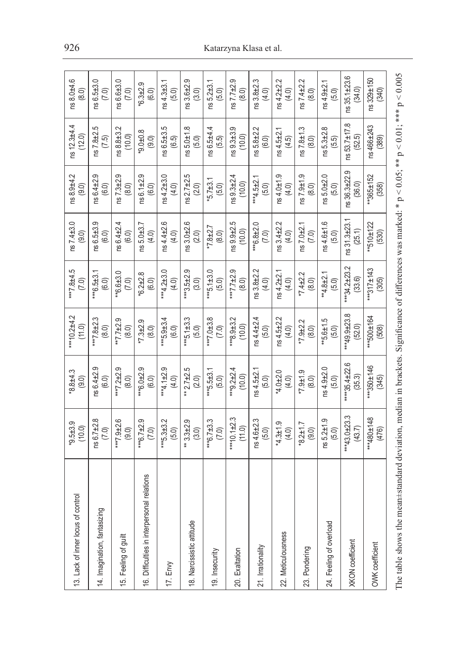| 13. Lack of inner locus of control                                                                                                                            | $^{49.5\pm3.9}_{(10.0)}$     | $8.8 + 4.3$<br>(9.0)                         | *** $10.2 + 4.2$<br>(11.0)    | $-5.9445$<br>(7.0)         | $ns7.4 + 3.0$<br>(9.0)       | ns 8.9±4.2<br>(9.0)             | ns 12.3±4.4<br>(12.0)          | ns 8.0±4.6<br>(8.0)     |
|---------------------------------------------------------------------------------------------------------------------------------------------------------------|------------------------------|----------------------------------------------|-------------------------------|----------------------------|------------------------------|---------------------------------|--------------------------------|-------------------------|
| 14. Imagination, fantasizing                                                                                                                                  | ns 6.7 ± 2.8<br>(7.0)        | $ns \, 6.4 + 2.9$<br>$(6.0)$                 | **7.8±2.3<br>(8.0)            | $***6.5\pm3.1$<br>(6.0)    | တ<br>$10.65 + 3.5$           | Ō<br>$ns \, 6.4 + 2.9$<br>(6.0) | 5<br>$ns 7.8 + 2.9$<br>$(7.5)$ | ns 6.5±3.0<br>(7.0)     |
| 15. Feeling of guilt                                                                                                                                          | ***7.9±2.6<br>(9.0)          | ***7.2±2.9<br>(8.0)                          | $7.7 \pm 2.9$<br>(8.0)        | $*6.6 \pm 3.0$<br>(7.0)    | $ns6.4 + 2.4$<br>(6.0)       | Q.<br>$ns7.3 + 2.9$<br>(8.0)    | ns 8.8±3.2<br>(10.0)           | $ns6.6 + 3.0$<br>(7.0)  |
| 16. Difficulties in interpersonal relations                                                                                                                   | *** $6.7 \pm 2.9$<br>(7.0)   | ***6.0±2.9<br>(6.0)                          | $*7.3 + 2.9$<br>(8.0)         | $*6.2 \pm 2.8$<br>(6.0)    | $ns 5.0 + 3.7$<br>(4.0)      | ns 6.1 ± 2.9<br>(6.0)           | $8.0 + 0.8$<br>(9.0)           | $*6.3 + 2.9$<br>(6.0)   |
| $17.$ Envy                                                                                                                                                    | $***5.3\pm3.2$<br>(5.0)      | *** $4.1 \pm 2.9$<br>(4.0)                   | $***$ 5.9 $\pm$ 3.4<br>(6.0)  | ***4.2±3.0<br>(4.0)        | ns4.4 ± 2.6<br>(4.0)         | $ns4.2 + 3.0$<br>(4.0)          | ns 6.5±3.5<br>(6.5)            | $ns4.3+3.1$<br>(5.0)    |
| 18. Narcissistic attitude                                                                                                                                     | $3.3 + 2.9$<br>(3.0)<br>ŧ    | $2.7 + 2.5$<br>(2.0)<br>$\ddot{\ddot{\ast}}$ | $***$ 5.1±3.3<br>(5.0)        | $3.5 + 2.9$<br>(3.0)       | $ns3.0 + 2.6$<br>(2.0)       | $ns2.7 + 2.5$<br>(2.0)          | $ns 5.0 + 1.8$<br>(5.0)        | $ns3.6 + 2.9$<br>(3.0)  |
| 19. Insecurity                                                                                                                                                | *** $6.7 \pm 3.3$<br>(7.0)   | $**5.5 + 3.1$<br>(5.0)                       | $147.0 \pm 3.8$<br>(7.0)      | $4*5.1 \pm 3.0$<br>(5.0)   | $*7.8 + 2.7$<br>(8.0)        | $*5.7 \pm 3.1$<br>(5.0)         | ns 6.5±4.4<br>(5.5)            | $ns 5.2 + 3.1$<br>(5.0) |
| 20. Exaltation                                                                                                                                                | *** 10.1 $\pm$ 2.3<br>(11.0) | *** $9.2 \pm 2.4$<br>(10.0)                  | ***8.9±3.2<br>(10.0)          | $2.5 + 7.7 + 2.9$<br>(8.0) | rú<br>$159.9 + 2.$<br>(10.0) | $1s9.3 \pm 2.4$<br>(10.0)       | Q,<br>$ns9.3+3.$<br>(10.0)     | $ns7.7+2.9$<br>(8.0)    |
| 21. Irrationality                                                                                                                                             | $ns4.6 + 2.3$<br>(5.0)       | $ns4.5+2.1$<br>(5.0)                         | $ns4.4 + 2.4$<br>(5.0)        | $ns3.8 + 2.2$<br>(4.0)     | ***6.8±2.0<br>(7.0)          | $4.5 + 2.1$<br>(5.0)            | $ns 5.8 + 2.2$<br>(6.0)        | ns 3.8±2.3<br>(4.0)     |
| 22. Meticulousness                                                                                                                                            | $*4.3 \pm 1.9$<br>(4.0)      | $4.0 + 2.0$<br>(4.0)                         | $ns4.5 + 2.2$<br>(4.0)        | $ns4.2 + 2.1$<br>(4.0)     | $ns3.4 + 2.2$<br>(4.0)       | $ns4.0 + 1.9$<br>(4.0)          | $ns4.5 + 2.1$<br>(4.5)         | $ns 4.2 + 2.2$<br>(4.0) |
| 23. Pondering                                                                                                                                                 | $*8.2 \pm 1.7$<br>(9.0)      | $-5.14$<br>(8.0)                             | $*7.9 + 2.2$<br>(8.0)         | $*7.4 + 2.2$<br>(8.0)      | $ns7.0 + 2.1$<br>(7.0)       | ns 7.9±1.9<br>(8.0)             | $ns 7.8 \pm 1.3$<br>$(8.0)$    | $ns7.4 + 2.2$<br>(8.0)  |
| 24. Feeling of overload                                                                                                                                       | $ns 5.2 + 1.9$<br>(5.0)      | $ns 4.9 + 2.0$<br>(5.0)                      | $-5.6 \pm 1.5$<br>(5.0)       | ** $4.8 + 2.1$<br>(5.0)    | $ns4.6 + 1.6$<br>(5.0)       | $ns 5.0 + 2.0$<br>(5.0)         | $ns 5.3 + 2.8$<br>(5.5)        | $ns 4.9 + 2.1$<br>(5.0) |
| XKON coefficient                                                                                                                                              | ***43.0±23.3<br>(43.7)       | ****35.4±22.6<br>(35.3)                      | *** 49.9 $\pm$ 23.8<br>(52.0) | ***34.2±23.2<br>(33.6)     | $ns31.3+23.$<br>(25.1)       | တ့<br>ns 36.3±22<br>(36.0)      | $ns\,53.7\pm17.8$<br>(52.5)    | ns 35.1±23.6<br>(34.0)  |
| OWK coefficient                                                                                                                                               | ***480±148<br>(476)          | $46$<br>$+146$<br>(345)                      | $+500 + 164$<br>(508)         | ***317±143<br>(305)        | $*510 \pm 122$<br>(530)      | **365±152<br>(358)              | ns 466±243<br>(389)            | ns 329±150<br>(340)     |
| The table shows the mean+standard deviation, median in brackets. Significance of differences was marked: * $n \le 0.05$ : ** $n \le 0.01$ : *** $n \le 0.005$ |                              |                                              |                               |                            |                              |                                 |                                |                         |

The table shows the mean±standard deviation, median in brackets. Significance of differences was marked: \*  $p < 0.05$ ; \*\*  $p < 0.01$ ; \*\*\*  $p < 0.005$ ı,  $\ddot{\phantom{0}}$ ı,  $\ddot{\phantom{0}}$ Ļ,  $\bar{E}$ ŗ.

### 926 Katarzyna Klasa et al.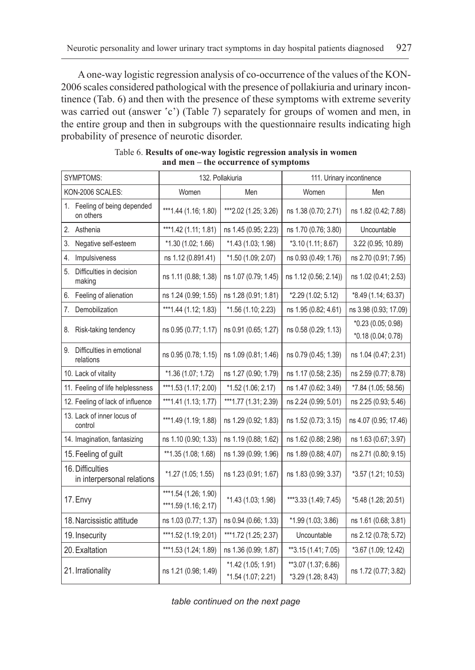A one-way logistic regression analysis of co-occurrence of the values of the KON-2006 scales considered pathological with the presence of pollakiuria and urinary incontinence (Tab. 6) and then with the presence of these symptoms with extreme severity was carried out (answer 'c') (Table 7) separately for groups of women and men, in the entire group and then in subgroups with the questionnaire results indicating high probability of presence of neurotic disorder.

| <b>SYMPTOMS:</b>                               |                                                  | 132. Pollakiuria                         |                                           | 111. Urinary incontinence                |
|------------------------------------------------|--------------------------------------------------|------------------------------------------|-------------------------------------------|------------------------------------------|
| KON-2006 SCALES:                               | Women                                            | Men                                      | Women                                     | Men                                      |
| 1. Feeling of being depended<br>on others      | *** 1.44 (1.16; 1.80)                            | ***2.02 (1.25; 3.26)                     | ns 1.38 (0.70; 2.71)                      | ns 1.82 (0.42; 7.88)                     |
| 2. Asthenia                                    | ***1.42 (1.11; 1.81)                             | ns 1.45 (0.95; 2.23)                     | ns 1.70 (0.76; 3.80)                      | Uncountable                              |
| Negative self-esteem<br>3.                     | $*1.30(1.02; 1.66)$                              | *1.43 (1.03; 1.98)                       | *3.10 (1.11; 8.67)                        | 3.22 (0.95; 10.89)                       |
| Impulsiveness<br>4.                            | ns 1.12 (0.891.41)                               | *1.50 (1.09; 2.07)                       | ns 0.93 (0.49; 1.76)                      | ns 2.70 (0.91; 7.95)                     |
| 5. Difficulties in decision<br>making          | ns 1.11 (0.88; 1.38)                             | ns 1.07 (0.79; 1.45)                     | ns 1.12 (0.56; 2.14))                     | ns 1.02 (0.41; 2.53)                     |
| Feeling of alienation<br>6.                    | ns 1.24 (0.99; 1.55)                             | ns 1.28 (0.91; 1.81)                     | *2.29 (1.02; 5.12)                        | *8.49 (1.14; 63.37)                      |
| Demobilization<br>7.                           | *** 1.44 (1.12; 1.83)                            | *1.56 (1.10, 2.23)                       | ns 1.95 (0.82; 4.61)                      | ns 3.98 (0.93; 17.09)                    |
| 8. Risk-taking tendency                        | ns 0.95 (0.77; 1.17)                             | ns 0.91 (0.65; 1.27)                     | ns 0.58 (0.29; 1.13)                      | *0.23 (0.05; 0.98)<br>*0.18 (0.04; 0.78) |
| 9. Difficulties in emotional<br>relations      | ns 0.95 (0.78; 1.15)                             | ns 1.09 (0.81, 1.46)                     | ns 0.79 (0.45; 1.39)                      | ns 1.04 (0.47; 2.31)                     |
| 10. Lack of vitality                           | *1.36 (1.07; 1.72)                               | ns 1.27 (0.90, 1.79)                     | ns 1.17 (0.58; 2.35)                      | ns 2.59 (0.77; 8.78)                     |
| 11. Feeling of life helplessness               | *** 1.53 (1.17; 2.00)                            | *1.52 (1.06; 2.17)                       | ns 1.47 (0.62; 3.49)                      | *7.84 (1.05; 58.56)                      |
| 12. Feeling of lack of influence               | ***1.41 $(1.13; 1.77)$                           | *** 1.77 (1.31; 2.39)                    | ns 2.24 (0.99; 5.01)                      | ns 2.25 (0.93; 5.46)                     |
| 13. Lack of inner locus of<br>control          | *** 1.49 (1.19; 1.88)                            | ns 1.29 (0.92; 1.83)                     | ns 1.52 (0.73; 3.15)                      | ns 4.07 (0.95; 17.46)                    |
| 14. Imagination, fantasizing                   | ns 1.10 (0.90; 1.33)                             | ns 1.19 (0.88; 1.62)                     | ns 1.62 (0.88; 2.98)                      | ns 1.63 (0.67; 3.97)                     |
| 15. Feeling of guilt                           | **1.35 (1.08; 1.68)                              | ns 1.39 (0.99; 1.96)                     | ns 1.89 (0.88; 4.07)                      | ns 2.71 (0.80; 9.15)                     |
| 16. Difficulties<br>in interpersonal relations | *1.27 (1.05; 1.55)                               | ns 1.23 (0.91; 1.67)                     | ns 1.83 (0.99; 3.37)                      | *3.57 (1.21; 10.53)                      |
| 17. Envy                                       | *** 1.54 (1.26; 1.90)<br>*** 1.59 $(1.16; 2.17)$ | *1.43 (1.03; 1.98)                       | ***3.33 (1.49; 7.45)                      | *5.48 (1.28; 20.51)                      |
| 18. Narcissistic attitude                      | ns 1.03 (0.77; 1.37)                             | ns 0.94 (0.66; 1.33)                     | *1.99 (1.03; 3.86)                        | ns 1.61 (0.68; 3.81)                     |
| 19. Insecurity                                 | *** 1.52 (1.19; 2.01)                            | ***1.72 (1.25; 2.37)                     | Uncountable                               | ns 2.12 (0.78; 5.72)                     |
| 20. Exaltation                                 | *** 1.53 (1.24; 1.89)                            | ns 1.36 (0.99; 1.87)                     | **3.15 (1.41; 7.05)                       | *3.67 (1.09; 12.42)                      |
| 21. Irrationality                              | ns 1.21 (0.98; 1.49)                             | *1.42 (1.05; 1.91)<br>*1.54 (1.07; 2.21) | **3.07 (1.37; 6.86)<br>*3.29 (1.28; 8.43) | ns 1.72 (0.77; 3.82)                     |

Table 6. **Results of one-way logistic regression analysis in women and men – the occurrence of symptoms**

*table continued on the next page*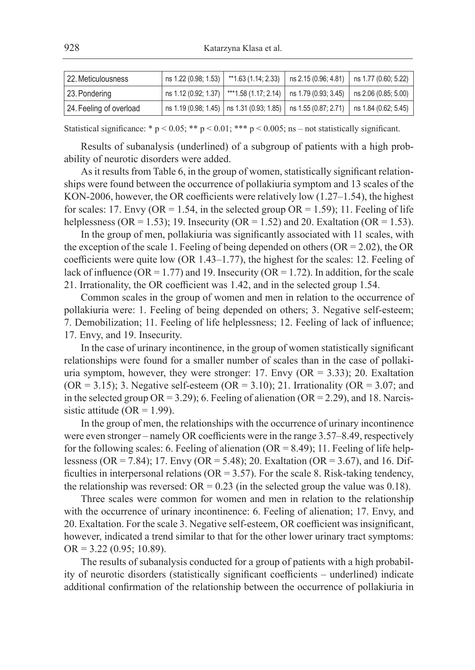| 22. Meticulousness      |  | ns 1.22 (0.98; 1.53)   **1.63 (1.14; 2.33)   ns 2.15 (0.96; 4.81)   ns 1.77 (0.60; 5.22)                        |  |
|-------------------------|--|-----------------------------------------------------------------------------------------------------------------|--|
| 23. Pondering           |  | $\mid$ ns 1.12 (0.92; 1.37) $\mid$ ***1.58 (1.17; 2.14) $\mid$ ns 1.79 (0.93; 3.45) $\mid$ ns 2.06 (0.85; 5.00) |  |
| 24. Feeling of overload |  | ns 1.19 (0.98; 1.45)   ns 1.31 (0.93; 1.85)   ns 1.55 (0.87; 2.71)   ns 1.84 (0.62; 5.45)                       |  |

Statistical significance: \* p < 0.05; \*\* p < 0.01; \*\*\* p < 0.005; ns – not statistically significant.

Results of subanalysis (underlined) of a subgroup of patients with a high probability of neurotic disorders were added.

As it results from Table 6, in the group of women, statistically significant relationships were found between the occurrence of pollakiuria symptom and 13 scales of the KON-2006, however, the OR coefficients were relatively low  $(1.27-1.54)$ , the highest for scales: 17. Envy (OR = 1.54, in the selected group OR = 1.59); 11. Feeling of life helplessness (OR = 1.53); 19. Insecurity (OR = 1.52) and 20. Exaltation (OR = 1.53).

In the group of men, pollakiuria was significantly associated with 11 scales, with the exception of the scale 1. Feeling of being depended on others ( $OR = 2.02$ ), the OR coefficients were quite low (OR 1.43–1.77), the highest for the scales: 12. Feeling of lack of influence (OR = 1.77) and 19. Insecurity (OR = 1.72). In addition, for the scale 21. Irrationality, the OR coefficient was 1.42, and in the selected group 1.54.

Common scales in the group of women and men in relation to the occurrence of pollakiuria were: 1. Feeling of being depended on others; 3. Negative self-esteem; 7. Demobilization; 11. Feeling of life helplessness; 12. Feeling of lack of influence; 17. Envy, and 19. Insecurity.

In the case of urinary incontinence, in the group of women statistically significant relationships were found for a smaller number of scales than in the case of pollakiuria symptom, however, they were stronger: 17. Envy  $(OR = 3.33)$ ; 20. Exaltation  $(OR = 3.15)$ ; 3. Negative self-esteem  $(OR = 3.10)$ ; 21. Irrationality  $(OR = 3.07)$ ; and in the selected group  $OR = 3.29$ ; 6. Feeling of alienation ( $OR = 2.29$ ), and 18. Narcissistic attitude (OR =  $1.99$ ).

In the group of men, the relationships with the occurrence of urinary incontinence were even stronger – namely OR coefficients were in the range 3.57–8.49, respectively for the following scales: 6. Feeling of alienation ( $OR = 8.49$ ); 11. Feeling of life helplessness (OR = 7.84); 17. Envy (OR = 5.48); 20. Exaltation (OR = 3.67), and 16. Difficulties in interpersonal relations ( $OR = 3.57$ ). For the scale 8. Risk-taking tendency, the relationship was reversed:  $OR = 0.23$  (in the selected group the value was 0.18).

Three scales were common for women and men in relation to the relationship with the occurrence of urinary incontinence: 6. Feeling of alienation; 17. Envy, and 20. Exaltation. For the scale 3. Negative self-esteem, OR coefficient was insignificant, however, indicated a trend similar to that for the other lower urinary tract symptoms:  $OR = 3.22$  (0.95; 10.89).

The results of subanalysis conducted for a group of patients with a high probability of neurotic disorders (statistically significant coefficients – underlined) indicate additional confirmation of the relationship between the occurrence of pollakiuria in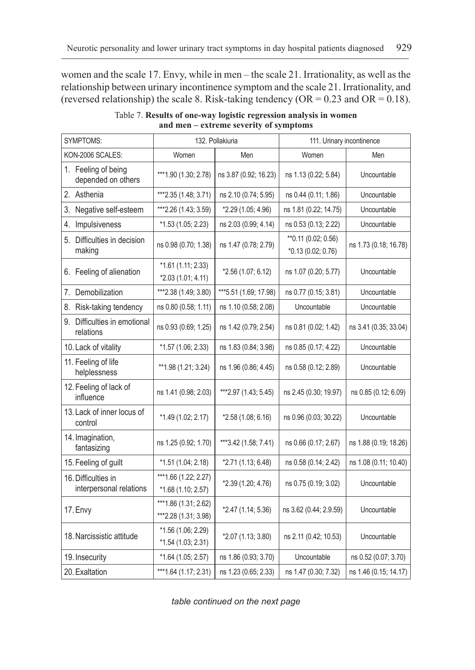women and the scale 17. Envy, while in men – the scale 21. Irrationality, as well as the relationship between urinary incontinence symptom and the scale 21. Irrationality, and (reversed relationship) the scale 8. Risk-taking tendency (OR =  $0.23$  and OR =  $0.18$ ).

| <b>SYMPTOMS:</b>                               |                                              | 132. Pollakiuria       | 111. Urinary incontinence                  |                       |
|------------------------------------------------|----------------------------------------------|------------------------|--------------------------------------------|-----------------------|
| KON-2006 SCALES:                               | Women                                        | Men                    | Women                                      | Men                   |
| 1. Feeling of being<br>depended on others      | *** 1.90 (1.30; 2.78)                        | ns 3.87 (0.92, 16.23)  | ns 1.13 (0.22; 5.84)                       | Uncountable           |
| 2. Asthenia                                    | ***2.35 (1.48; 3.71)                         | ns 2.10 (0.74; 5.95)   | ns 0.44 (0.11; 1.86)                       | Uncountable           |
| 3. Negative self-esteem                        | ***2.26 (1.43; 3.59)                         | *2.29 (1.05; 4.96)     | ns 1.81 (0.22; 14.75)                      | Uncountable           |
| 4. Impulsiveness                               | *1.53 (1.05; 2.23)                           | ns 2.03 (0.99, 4.14)   | ns 0.53 (0.13; 2.22)                       | Uncountable           |
| 5. Difficulties in decision<br>making          | ns 0.98 (0.70; 1.38)                         | ns 1.47 (0.78; 2.79)   | ** 0.11 (0.02; 0.56)<br>*0.13 (0.02; 0.76) | ns 1.73 (0.18; 16.78) |
| 6. Feeling of alienation                       | $*1.61(1.11, 2.33)$<br>*2.03 (1.01; 4.11)    | *2.56 (1.07; 6.12)     | ns 1.07 (0.20; 5.77)                       | Uncountable           |
| 7. Demobilization                              | ***2.38 (1.49; 3.80)                         | *** 5.51 (1.69; 17.98) | ns 0.77 (0.15; 3.81)                       | Uncountable           |
| 8. Risk-taking tendency                        | ns 0.80 (0.58; 1.11)                         | ns 1.10 (0.58; 2.08)   | Uncountable                                | Uncountable           |
| 9. Difficulties in emotional<br>relations      | ns 0.93 (0.69; 1.25)                         | ns 1.42 (0.79; 2.54)   | ns 0.81 (0.02; 1.42)                       | ns 3.41 (0.35; 33.04) |
| 10. Lack of vitality                           | *1.57 (1.06; 2.33)                           | ns 1.83 (0.84; 3.98)   | ns 0.85 (0.17; 4.22)                       | Uncountable           |
| 11. Feeling of life<br>helplessness            | ** 1.98 (1.21; 3.24)                         | ns 1.96 (0.86; 4.45)   | ns 0.58 (0.12; 2.89)                       | Uncountable           |
| 12. Feeling of lack of<br>influence            | ns 1.41 (0.98; 2.03)                         | ***2.97 (1.43; 5.45)   | ns 2.45 (0.30, 19.97)                      | ns 0.85 (0.12; 6.09)  |
| 13. Lack of inner locus of<br>control          | *1.49 (1.02; 2.17)                           | *2.58 (1.08; 6.16)     | ns 0.96 (0.03; 30.22)                      | Uncountable           |
| 14. Imagination,<br>fantasizing                | ns 1.25 (0.92; 1.70)                         | ***3.42 (1.58; 7.41)   | ns 0.66 (0.17; 2.67)                       | ns 1.88 (0.19; 18.26) |
| 15. Feeling of guilt                           | $*1.51(1.04; 2.18)$                          | *2.71 (1.13; 6.48)     | ns 0.58 (0.14; 2.42)                       | ns 1.08 (0.11; 10.40) |
| 16. Difficulties in<br>interpersonal relations | ***1.66 (1.22; 2.27)<br>*1.68 (1.10; 2.57)   | *2.39 (1.20; 4.76)     | ns 0.75 (0.19; 3.02)                       | Uncountable           |
| 17. Envy                                       | ***1.86 (1.31; 2.62)<br>***2.28 (1.31; 3.98) | *2.47 (1.14; 5.36)     | ns 3.62 (0.44; 2.9.59)                     | Uncountable           |
| 18. Narcissistic attitude                      | *1.56 (1.06; 2.29)<br>$*1.54(1.03; 2.31)$    | *2.07 (1.13; 3.80)     | ns 2.11 (0.42; 10.53)                      | Uncountable           |
| 19. Insecurity                                 | *1.64 (1.05; 2.57)                           | ns 1.86 (0.93; 3.70)   | Uncountable                                | ns 0.52 (0.07; 3.70)  |
| 20. Exaltation                                 | *** 1.64 $(1.17; 2.31)$                      | ns 1.23 (0.65; 2.33)   | ns 1.47 (0.30; 7.32)                       | ns 1.46 (0.15; 14.17) |

Table 7. **Results of one-way logistic regression analysis in women and men – extreme severity of symptoms**

*table continued on the next page*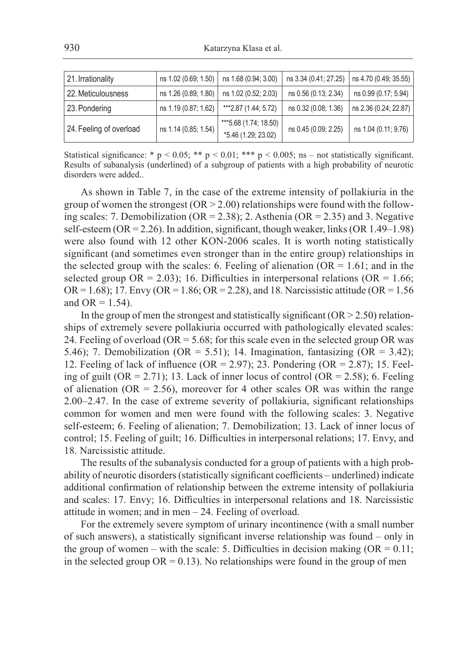| ns 4.70 (0.49; 35.55) |  |
|-----------------------|--|
|                       |  |
| ns 0.99 (0.17; 5.94)  |  |
|                       |  |
| ns 2.36 (0.24; 22.87) |  |
| ns 1.04 (0.11; 9.76)  |  |
|                       |  |

Statistical significance: \* p < 0.05; \*\* p < 0.01; \*\*\* p < 0.005; ns – not statistically significant. Results of subanalysis (underlined) of a subgroup of patients with a high probability of neurotic disorders were added..

As shown in Table 7, in the case of the extreme intensity of pollakiuria in the group of women the strongest ( $OR > 2.00$ ) relationships were found with the following scales: 7. Demobilization (OR = 2.38); 2. Asthenia (OR = 2.35) and 3. Negative self-esteem (OR = 2.26). In addition, significant, though weaker, links (OR 1.49–1.98) were also found with 12 other KON-2006 scales. It is worth noting statistically significant (and sometimes even stronger than in the entire group) relationships in the selected group with the scales: 6. Feeling of alienation  $(OR = 1.61$ ; and in the selected group  $OR = 2.03$ ); 16. Difficulties in interpersonal relations ( $OR = 1.66$ ; OR = 1.68); 17. Envy (OR = 1.86; OR = 2.28), and 18. Narcissistic attitude (OR = 1.56 and  $OR = 1.54$ ).

In the group of men the strongest and statistically significant  $(OR > 2.50)$  relationships of extremely severe pollakiuria occurred with pathologically elevated scales: 24. Feeling of overload ( $OR = 5.68$ ; for this scale even in the selected group OR was 5.46); 7. Demobilization (OR = 5.51); 14. Imagination, fantasizing (OR = 3.42); 12. Feeling of lack of influence (OR = 2.97); 23. Pondering (OR = 2.87); 15. Feeling of guilt (OR = 2.71); 13. Lack of inner locus of control (OR = 2.58); 6. Feeling of alienation ( $OR = 2.56$ ), moreover for 4 other scales OR was within the range 2.00–2.47. In the case of extreme severity of pollakiuria, significant relationships common for women and men were found with the following scales: 3. Negative self-esteem; 6. Feeling of alienation; 7. Demobilization; 13. Lack of inner locus of control; 15. Feeling of guilt; 16. Difficulties in interpersonal relations; 17. Envy, and 18. Narcissistic attitude.

The results of the subanalysis conducted for a group of patients with a high probability of neurotic disorders (statistically significant coefficients – underlined) indicate additional confirmation of relationship between the extreme intensity of pollakiuria and scales: 17. Envy; 16. Difficulties in interpersonal relations and 18. Narcissistic attitude in women; and in men – 24. Feeling of overload.

For the extremely severe symptom of urinary incontinence (with a small number of such answers), a statistically significant inverse relationship was found – only in the group of women – with the scale: 5. Difficulties in decision making ( $OR = 0.11$ ; in the selected group  $OR = 0.13$ ). No relationships were found in the group of men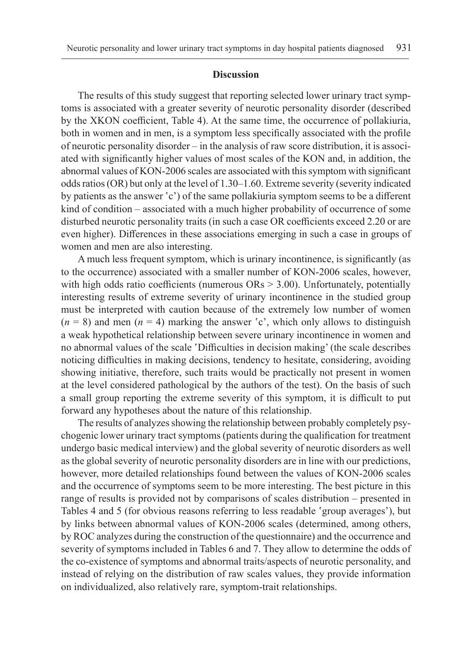#### **Discussion**

The results of this study suggest that reporting selected lower urinary tract symptoms is associated with a greater severity of neurotic personality disorder (described by the XKON coefficient, Table 4). At the same time, the occurrence of pollakiuria, both in women and in men, is a symptom less specifically associated with the profile of neurotic personality disorder – in the analysis of raw score distribution, it is associated with significantly higher values of most scales of the KON and, in addition, the abnormal values of KON-2006 scales are associated with this symptom with significant odds ratios (OR) but only at the level of 1.30–1.60. Extreme severity (severity indicated by patients as the answer 'c') of the same pollakiuria symptom seems to be a different kind of condition – associated with a much higher probability of occurrence of some disturbed neurotic personality traits (in such a case OR coefficients exceed 2.20 or are even higher). Differences in these associations emerging in such a case in groups of women and men are also interesting.

A much less frequent symptom, which is urinary incontinence, is significantly (as to the occurrence) associated with a smaller number of KON-2006 scales, however, with high odds ratio coefficients (numerous  $\text{ORs} > 3.00$ ). Unfortunately, potentially interesting results of extreme severity of urinary incontinence in the studied group must be interpreted with caution because of the extremely low number of women  $(n = 8)$  and men  $(n = 4)$  marking the answer 'c', which only allows to distinguish a weak hypothetical relationship between severe urinary incontinence in women and no abnormal values of the scale 'Difficulties in decision making' (the scale describes noticing difficulties in making decisions, tendency to hesitate, considering, avoiding showing initiative, therefore, such traits would be practically not present in women at the level considered pathological by the authors of the test). On the basis of such a small group reporting the extreme severity of this symptom, it is difficult to put forward any hypotheses about the nature of this relationship.

The results of analyzes showing the relationship between probably completely psychogenic lower urinary tract symptoms (patients during the qualification for treatment undergo basic medical interview) and the global severity of neurotic disorders as well as the global severity of neurotic personality disorders are in line with our predictions, however, more detailed relationships found between the values of KON-2006 scales and the occurrence of symptoms seem to be more interesting. The best picture in this range of results is provided not by comparisons of scales distribution – presented in Tables 4 and 5 (for obvious reasons referring to less readable 'group averages'), but by links between abnormal values of KON-2006 scales (determined, among others, by ROC analyzes during the construction of the questionnaire) and the occurrence and severity of symptoms included in Tables 6 and 7. They allow to determine the odds of the co-existence of symptoms and abnormal traits/aspects of neurotic personality, and instead of relying on the distribution of raw scales values, they provide information on individualized, also relatively rare, symptom-trait relationships.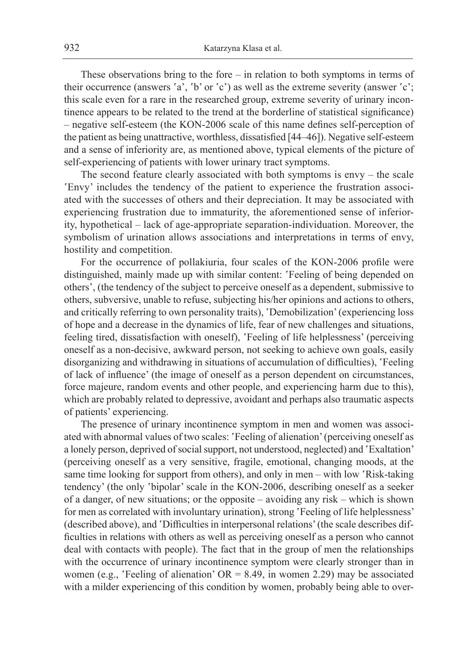These observations bring to the fore – in relation to both symptoms in terms of their occurrence (answers 'a', 'b' or 'c') as well as the extreme severity (answer 'c'; this scale even for a rare in the researched group, extreme severity of urinary incontinence appears to be related to the trend at the borderline of statistical significance) – negative self-esteem (the KON-2006 scale of this name defines self-perception of the patient as being unattractive, worthless, dissatisfied [44–46]). Negative self-esteem and a sense of inferiority are, as mentioned above, typical elements of the picture of self-experiencing of patients with lower urinary tract symptoms.

The second feature clearly associated with both symptoms is envy – the scale 'Envy' includes the tendency of the patient to experience the frustration associated with the successes of others and their depreciation. It may be associated with experiencing frustration due to immaturity, the aforementioned sense of inferiority, hypothetical – lack of age-appropriate separation-individuation. Moreover, the symbolism of urination allows associations and interpretations in terms of envy, hostility and competition.

For the occurrence of pollakiuria, four scales of the KON-2006 profile were distinguished, mainly made up with similar content: 'Feeling of being depended on others', (the tendency of the subject to perceive oneself as a dependent, submissive to others, subversive, unable to refuse, subjecting his/her opinions and actions to others, and critically referring to own personality traits), 'Demobilization' (experiencing loss of hope and a decrease in the dynamics of life, fear of new challenges and situations, feeling tired, dissatisfaction with oneself), 'Feeling of life helplessness' (perceiving oneself as a non-decisive, awkward person, not seeking to achieve own goals, easily disorganizing and withdrawing in situations of accumulation of difficulties), 'Feeling of lack of influence' (the image of oneself as a person dependent on circumstances, force majeure, random events and other people, and experiencing harm due to this), which are probably related to depressive, avoidant and perhaps also traumatic aspects of patients' experiencing.

The presence of urinary incontinence symptom in men and women was associated with abnormal values of two scales: 'Feeling of alienation' (perceiving oneself as a lonely person, deprived of social support, not understood, neglected) and 'Exaltation' (perceiving oneself as a very sensitive, fragile, emotional, changing moods, at the same time looking for support from others), and only in men – with low 'Risk-taking tendency' (the only 'bipolar' scale in the KON-2006, describing oneself as a seeker of a danger, of new situations; or the opposite – avoiding any risk – which is shown for men as correlated with involuntary urination), strong 'Feeling of life helplessness' (described above), and 'Difficulties in interpersonal relations' (the scale describes difficulties in relations with others as well as perceiving oneself as a person who cannot deal with contacts with people). The fact that in the group of men the relationships with the occurrence of urinary incontinence symptom were clearly stronger than in women (e.g., 'Feeling of alienation'  $OR = 8.49$ , in women 2.29) may be associated with a milder experiencing of this condition by women, probably being able to over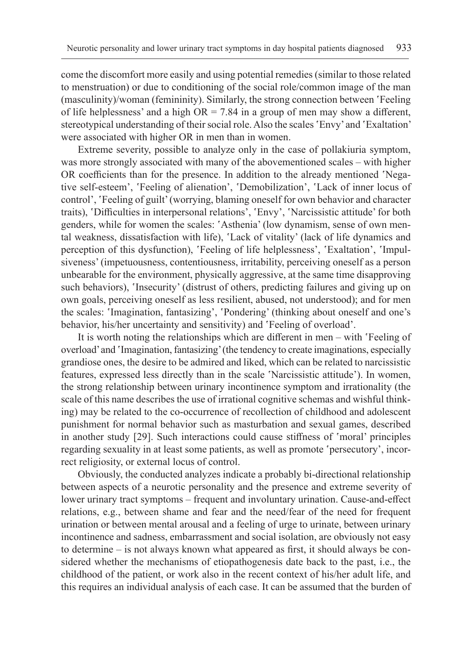come the discomfort more easily and using potential remedies (similar to those related to menstruation) or due to conditioning of the social role/common image of the man (masculinity)/woman (femininity). Similarly, the strong connection between 'Feeling of life helplessness' and a high  $OR = 7.84$  in a group of men may show a different, stereotypical understanding of their social role. Also the scales 'Envy' and 'Exaltation' were associated with higher OR in men than in women.

Extreme severity, possible to analyze only in the case of pollakiuria symptom, was more strongly associated with many of the abovementioned scales – with higher OR coefficients than for the presence. In addition to the already mentioned 'Negative self-esteem', 'Feeling of alienation', 'Demobilization', 'Lack of inner locus of control', 'Feeling of guilt' (worrying, blaming oneself for own behavior and character traits), 'Difficulties in interpersonal relations', 'Envy', 'Narcissistic attitude' for both genders, while for women the scales: 'Asthenia' (low dynamism, sense of own mental weakness, dissatisfaction with life), 'Lack of vitality' (lack of life dynamics and perception of this dysfunction), 'Feeling of life helplessness', 'Exaltation', 'Impulsiveness' (impetuousness, contentiousness, irritability, perceiving oneself as a person unbearable for the environment, physically aggressive, at the same time disapproving such behaviors), 'Insecurity' (distrust of others, predicting failures and giving up on own goals, perceiving oneself as less resilient, abused, not understood); and for men the scales: 'Imagination, fantasizing', 'Pondering' (thinking about oneself and one's behavior, his/her uncertainty and sensitivity) and 'Feeling of overload'.

It is worth noting the relationships which are different in men – with 'Feeling of overload' and 'Imagination, fantasizing' (the tendency to create imaginations, especially grandiose ones, the desire to be admired and liked, which can be related to narcissistic features, expressed less directly than in the scale 'Narcissistic attitude'). In women, the strong relationship between urinary incontinence symptom and irrationality (the scale of this name describes the use of irrational cognitive schemas and wishful thinking) may be related to the co-occurrence of recollection of childhood and adolescent punishment for normal behavior such as masturbation and sexual games, described in another study [29]. Such interactions could cause stiffness of 'moral' principles regarding sexuality in at least some patients, as well as promote 'persecutory', incorrect religiosity, or external locus of control.

Obviously, the conducted analyzes indicate a probably bi-directional relationship between aspects of a neurotic personality and the presence and extreme severity of lower urinary tract symptoms – frequent and involuntary urination. Cause-and-effect relations, e.g., between shame and fear and the need/fear of the need for frequent urination or between mental arousal and a feeling of urge to urinate, between urinary incontinence and sadness, embarrassment and social isolation, are obviously not easy to determine – is not always known what appeared as first, it should always be considered whether the mechanisms of etiopathogenesis date back to the past, i.e., the childhood of the patient, or work also in the recent context of his/her adult life, and this requires an individual analysis of each case. It can be assumed that the burden of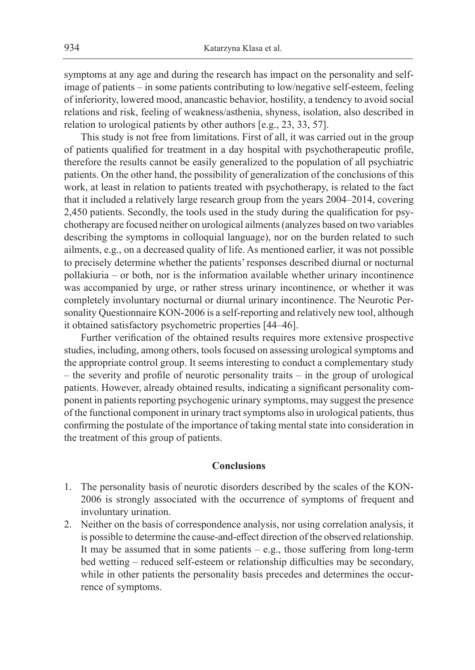symptoms at any age and during the research has impact on the personality and selfimage of patients – in some patients contributing to low/negative self-esteem, feeling of inferiority, lowered mood, anancastic behavior, hostility, a tendency to avoid social relations and risk, feeling of weakness/asthenia, shyness, isolation, also described in relation to urological patients by other authors [e.g., 23, 33, 57].

This study is not free from limitations. First of all, it was carried out in the group of patients qualified for treatment in a day hospital with psychotherapeutic profile, therefore the results cannot be easily generalized to the population of all psychiatric patients. On the other hand, the possibility of generalization of the conclusions of this work, at least in relation to patients treated with psychotherapy, is related to the fact that it included a relatively large research group from the years 2004–2014, covering 2,450 patients. Secondly, the tools used in the study during the qualification for psychotherapy are focused neither on urological ailments (analyzes based on two variables describing the symptoms in colloquial language), nor on the burden related to such ailments, e.g., on a decreased quality of life. As mentioned earlier, it was not possible to precisely determine whether the patients' responses described diurnal or nocturnal pollakiuria – or both, nor is the information available whether urinary incontinence was accompanied by urge, or rather stress urinary incontinence, or whether it was completely involuntary nocturnal or diurnal urinary incontinence. The Neurotic Personality Questionnaire KON-2006 is a self-reporting and relatively new tool, although it obtained satisfactory psychometric properties [44–46].

Further verification of the obtained results requires more extensive prospective studies, including, among others, tools focused on assessing urological symptoms and the appropriate control group. It seems interesting to conduct a complementary study – the severity and profile of neurotic personality traits – in the group of urological patients. However, already obtained results, indicating a significant personality component in patients reporting psychogenic urinary symptoms, may suggest the presence of the functional component in urinary tract symptoms also in urological patients, thus confirming the postulate of the importance of taking mental state into consideration in the treatment of this group of patients.

### **Conclusions**

- 1. The personality basis of neurotic disorders described by the scales of the KON-2006 is strongly associated with the occurrence of symptoms of frequent and involuntary urination.
- 2. Neither on the basis of correspondence analysis, nor using correlation analysis, it is possible to determine the cause-and-effect direction of the observed relationship. It may be assumed that in some patients – e.g., those suffering from long-term bed wetting – reduced self-esteem or relationship difficulties may be secondary, while in other patients the personality basis precedes and determines the occurrence of symptoms.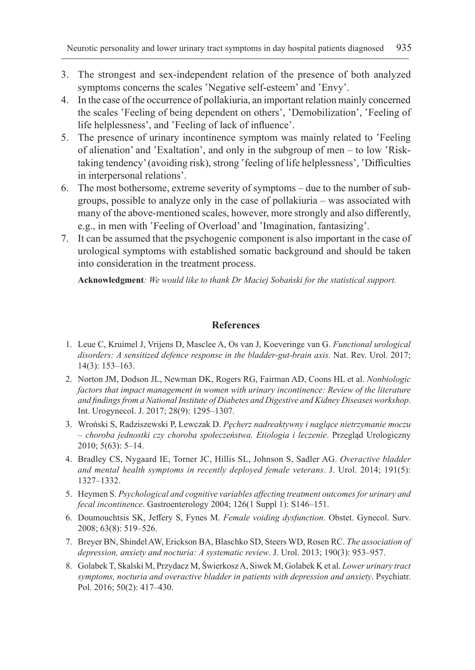- 3. The strongest and sex-independent relation of the presence of both analyzed symptoms concerns the scales 'Negative self-esteem' and 'Envy'.
- 4. In the case of the occurrence of pollakiuria, an important relation mainly concerned the scales 'Feeling of being dependent on others', 'Demobilization', 'Feeling of life helplessness', and 'Feeling of lack of influence'.
- 5. The presence of urinary incontinence symptom was mainly related to 'Feeling of alienation' and 'Exaltation', and only in the subgroup of men – to low 'Risktaking tendency' (avoiding risk), strong 'feeling of life helplessness', 'Difficulties in interpersonal relations'.
- 6. The most bothersome, extreme severity of symptoms due to the number of subgroups, possible to analyze only in the case of pollakiuria – was associated with many of the above-mentioned scales, however, more strongly and also differently, e.g., in men with 'Feeling of Overload' and 'Imagination, fantasizing'.
- 7. It can be assumed that the psychogenic component is also important in the case of urological symptoms with established somatic background and should be taken into consideration in the treatment process.

**Acknowledgment***: We would like to thank Dr Maciej Sobański for the statistical support.*

### **References**

- 1. Leue C, Kruimel J, Vrijens D, Masclee A, Os van J, Koeveringe van G. *Functional urological disorders: A sensitized defence response in the bladder-gut-brain axis.* Nat. Rev. Urol. 2017; 14(3): 153–163.
- 2. Norton JM, Dodson JL, Newman DK, Rogers RG, Fairman AD, Coons HL et al. *Nonbiologic factors that impact management in women with urinary incontinence: Review of the literature and findings from a National Institute of Diabetes and Digestive and Kidney Diseases workshop*. Int. Urogynecol. J. 2017; 28(9): 1295–1307.
- 3. Wroński S, Radziszewski P, Lewczak D. *Pęcherz nadreaktywny i naglące nietrzymanie moczu – choroba jednostki czy choroba społeczeństwa. Etiologia i leczenie*. Przegląd Urologiczny  $2010$ ;  $5(63)$ :  $5-14$ .
- 4. Bradley CS, Nygaard IE, Torner JC, Hillis SL, Johnson S, Sadler AG. *Overactive bladder and mental health symptoms in recently deployed female veterans*. J. Urol. 2014; 191(5): 1327–1332.
- 5. Heymen S. *Psychological and cognitive variables affecting treatment outcomes for urinary and fecal incontinence*. Gastroenterology 2004; 126(1 Suppl 1): S146–151.
- 6. Doumouchtsis SK, Jeffery S, Fynes M. *Female voiding dysfunction*. Obstet. Gynecol. Surv. 2008; 63(8): 519–526.
- 7. Breyer BN, Shindel AW, Erickson BA, Blaschko SD, Steers WD, Rosen RC. *The association of depression, anxiety and nocturia: A systematic review*. J. Urol. 2013; 190(3): 953–957.
- 8. Golabek T, Skalski M, Przydacz M, Świerkosz A, Siwek M, Golabek K et al. *Lower urinary tract symptoms, nocturia and overactive bladder in patients with depression and anxiety*. Psychiatr. Pol. 2016; 50(2): 417–430.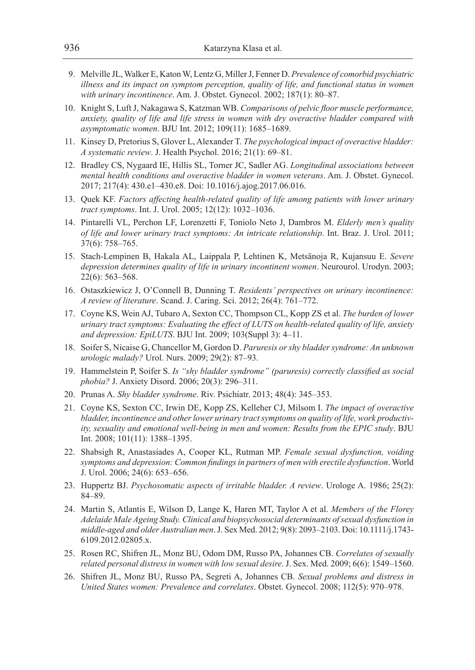- 9. Melville JL, Walker E, Katon W, Lentz G, Miller J, Fenner D. *Prevalence of comorbid psychiatric illness and its impact on symptom perception, quality of life, and functional status in women with urinary incontinence*. Am. J. Obstet. Gynecol. 2002; 187(1): 80–87.
- 10. Knight S, Luft J, Nakagawa S, Katzman WB. *Comparisons of pelvic floor muscle performance, anxiety, quality of life and life stress in women with dry overactive bladder compared with asymptomatic women*. BJU Int. 2012; 109(11): 1685–1689.
- 11. Kinsey D, Pretorius S, Glover L, Alexander T. *The psychological impact of overactive bladder: A systematic review*. J. Health Psychol. 2016; 21(1): 69–81.
- 12. Bradley CS, Nygaard IE, Hillis SL, Torner JC, Sadler AG. *Longitudinal associations between mental health conditions and overactive bladder in women veterans*. Am. J. Obstet. Gynecol. 2017; 217(4): 430.e1–430.e8. Doi: 10.1016/j.ajog.2017.06.016.
- 13. Quek KF. *Factors affecting health-related quality of life among patients with lower urinary tract symptoms*. Int. J. Urol. 2005; 12(12): 1032–1036.
- 14. Pintarelli VL, Perchon LF, Lorenzetti F, Toniolo Neto J, Dambros M. *Elderly men's quality of life and lower urinary tract symptoms: An intricate relationship*. Int. Braz. J. Urol. 2011; 37(6): 758–765.
- 15. Stach-Lempinen B, Hakala AL, Laippala P, Lehtinen K, Metsänoja R, Kujansuu E. *Severe depression determines quality of life in urinary incontinent women*. Neurourol. Urodyn. 2003; 22(6): 563–568.
- 16. Ostaszkiewicz J, O'Connell B, Dunning T. *Residents' perspectives on urinary incontinence: A review of literature*. Scand. J. Caring. Sci. 2012; 26(4): 761–772.
- 17. Coyne KS, Wein AJ, Tubaro A, Sexton CC, Thompson CL, Kopp ZS et al. *The burden of lower urinary tract symptoms: Evaluating the effect of LUTS on health-related quality of life, anxiety and depression: EpiLUTS*. BJU Int. 2009; 103(Suppl 3): 4–11.
- 18. Soifer S, Nicaise G, Chancellor M, Gordon D. *Paruresis or shy bladder syndrome: An unknown urologic malady?* Urol. Nurs. 2009; 29(2): 87–93.
- 19. Hammelstein P, Soifer S. *Is "shy bladder syndrome" (paruresis) correctly classified as social phobia?* J. Anxiety Disord. 2006; 20(3): 296–311.
- 20. Prunas A. *Shy bladder syndrome*. Riv. Psichiatr. 2013; 48(4): 345–353.
- 21. Coyne KS, Sexton CC, Irwin DE, Kopp ZS, Kelleher CJ, Milsom I. *The impact of overactive bladder, incontinence and other lower urinary tract symptoms on quality of life, work productivity, sexuality and emotional well-being in men and women: Results from the EPIC study*. BJU Int. 2008; 101(11): 1388–1395.
- 22. Shabsigh R, Anastasiades A, Cooper KL, Rutman MP. *Female sexual dysfunction, voiding symptoms and depression: Common findings in partners of men with erectile dysfunction*. World J. Urol. 2006; 24(6): 653–656.
- 23. Huppertz BJ. *Psychosomatic aspects of irritable bladder. A review*. Urologe A. 1986; 25(2): 84–89.
- 24. Martin S, Atlantis E, Wilson D, Lange K, Haren MT, Taylor A et al. *Members of the Florey Adelaide Male Ageing Study. Clinical and biopsychosocial determinants of sexual dysfunction in middle-aged and older Australian men*. J. Sex Med. 2012; 9(8): 2093–2103. Doi: 10.1111/j.1743- 6109.2012.02805.x.
- 25. Rosen RC, Shifren JL, Monz BU, Odom DM, Russo PA, Johannes CB. *Correlates of sexually related personal distress in women with low sexual desire*. J. Sex. Med. 2009; 6(6): 1549–1560.
- 26. Shifren JL, Monz BU, Russo PA, Segreti A, Johannes CB. *Sexual problems and distress in United States women: Prevalence and correlates*. Obstet. Gynecol. 2008; 112(5): 970–978.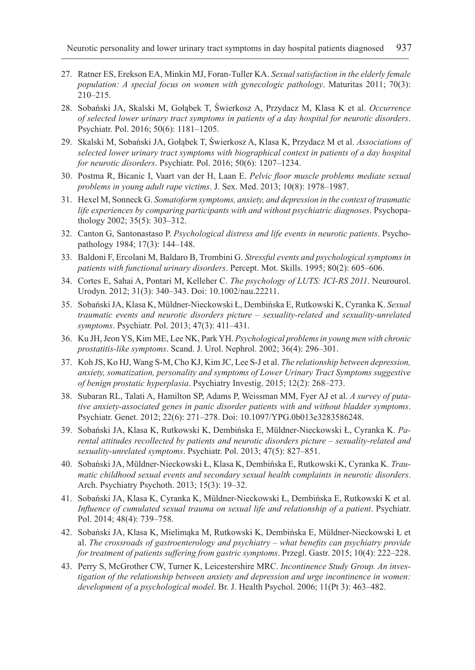- 27. Ratner ES, Erekson EA, Minkin MJ, Foran-Tuller KA. *Sexual satisfaction in the elderly female population: A special focus on women with gynecologic pathology*. Maturitas 2011; 70(3): 210–215.
- 28. Sobański JA, Skalski M, Gołąbek T, Świerkosz A, Przydacz M, Klasa K et al. *Occurrence of selected lower urinary tract symptoms in patients of a day hospital for neurotic disorders*. Psychiatr. Pol. 2016; 50(6): 1181–1205.
- 29. Skalski M, Sobański JA, Gołąbek T, Świerkosz A, Klasa K, Przydacz M et al. *Associations of selected lower urinary tract symptoms with biographical context in patients of a day hospital for neurotic disorders*. Psychiatr. Pol. 2016; 50(6): 1207–1234.
- 30. Postma R, Bicanic I, Vaart van der H, Laan E. *Pelvic floor muscle problems mediate sexual problems in young adult rape victims*. J. Sex. Med. 2013; 10(8): 1978–1987.
- 31. Hexel M, Sonneck G. *Somatoform symptoms, anxiety, and depression in the context of traumatic life experiences by comparing participants with and without psychiatric diagnoses*. Psychopathology 2002; 35(5): 303–312.
- 32. Canton G, Santonastaso P. *Psychological distress and life events in neurotic patients*. Psychopathology 1984; 17(3): 144–148.
- 33. Baldoni F, Ercolani M, Baldaro B, Trombini G. *Stressful events and psychological symptoms in patients with functional urinary disorders*. Percept. Mot. Skills. 1995; 80(2): 605–606.
- 34. Cortes E, Sahai A, Pontari M, Kelleher C. *The psychology of LUTS: ICI-RS 2011*. Neurourol. Urodyn. 2012; 31(3): 340–343. Doi: 10.1002/nau.22211.
- 35. Sobański JA, Klasa K, Müldner-Nieckowski Ł, Dembińska E, Rutkowski K, Cyranka K. *Sexual traumatic events and neurotic disorders picture – sexuality-related and sexuality-unrelated symptoms*. Psychiatr. Pol. 2013; 47(3): 411–431.
- 36. Ku JH, Jeon YS, Kim ME, Lee NK, Park YH. *Psychological problems in young men with chronic prostatitis-like symptoms*. Scand. J. Urol. Nephrol. 2002; 36(4): 296–301.
- 37. Koh JS, Ko HJ, Wang S-M, Cho KJ, Kim JC, Lee S-J et al. *The relationship between depression, anxiety, somatization, personality and symptoms of Lower Urinary Tract Symptoms suggestive of benign prostatic hyperplasia*. Psychiatry Investig. 2015; 12(2): 268–273.
- 38. Subaran RL, Talati A, Hamilton SP, Adams P, Weissman MM, Fyer AJ et al. *A survey of putative anxiety-associated genes in panic disorder patients with and without bladder symptoms*. Psychiatr. Genet. 2012; 22(6): 271–278. Doi: 10.1097/YPG.0b013e3283586248.
- 39. Sobański JA, Klasa K, Rutkowski K, Dembińska E, Müldner-Nieckowski Ł, Cyranka K. *Parental attitudes recollected by patients and neurotic disorders picture – sexuality-related and sexuality-unrelated symptoms*. Psychiatr. Pol. 2013; 47(5): 827–851.
- 40. Sobański JA, Müldner-Nieckowski Ł, Klasa K, Dembińska E, Rutkowski K, Cyranka K. *Traumatic childhood sexual events and secondary sexual health complaints in neurotic disorders*. Arch. Psychiatry Psychoth. 2013; 15(3): 19–32.
- 41. Sobański JA, Klasa K, Cyranka K, Müldner-Nieckowski Ł, Dembińska E, Rutkowski K et al. *Influence of cumulated sexual trauma on sexual life and relationship of a patient*. Psychiatr. Pol. 2014; 48(4): 739–758.
- 42. Sobański JA, Klasa K, Mielimąka M, Rutkowski K, Dembińska E, Müldner-Nieckowski Ł et al. *The crossroads of gastroenterology and psychiatry – what benefits can psychiatry provide for treatment of patients suffering from gastric symptoms*. Przegl. Gastr. 2015; 10(4): 222–228.
- 43. Perry S, McGrother CW, Turner K, Leicestershire MRC. *Incontinence Study Group. An investigation of the relationship between anxiety and depression and urge incontinence in women: development of a psychological model*. Br. J. Health Psychol. 2006; 11(Pt 3): 463–482.